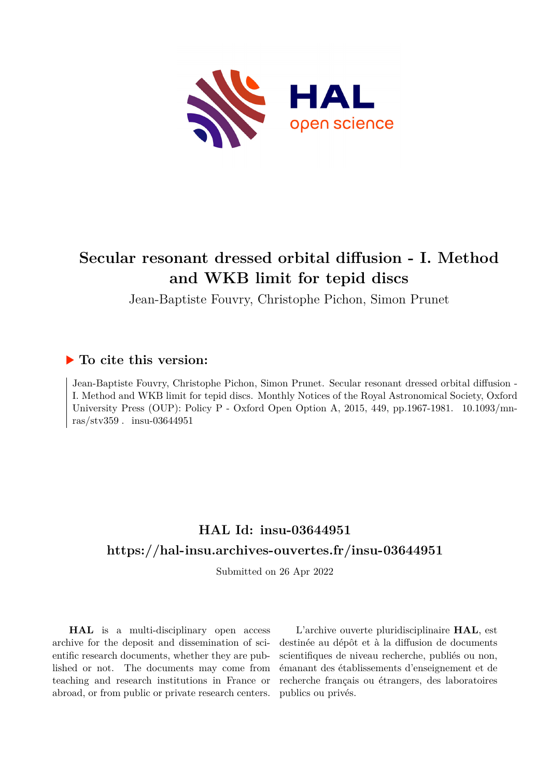

# **Secular resonant dressed orbital diffusion - I. Method and WKB limit for tepid discs**

Jean-Baptiste Fouvry, Christophe Pichon, Simon Prunet

# **To cite this version:**

Jean-Baptiste Fouvry, Christophe Pichon, Simon Prunet. Secular resonant dressed orbital diffusion - I. Method and WKB limit for tepid discs. Monthly Notices of the Royal Astronomical Society, Oxford University Press (OUP): Policy P - Oxford Open Option A, 2015, 449, pp.1967-1981. 10.1093/mnras/stv359. insu-03644951

# **HAL Id: insu-03644951 <https://hal-insu.archives-ouvertes.fr/insu-03644951>**

Submitted on 26 Apr 2022

**HAL** is a multi-disciplinary open access archive for the deposit and dissemination of scientific research documents, whether they are published or not. The documents may come from teaching and research institutions in France or abroad, or from public or private research centers.

L'archive ouverte pluridisciplinaire **HAL**, est destinée au dépôt et à la diffusion de documents scientifiques de niveau recherche, publiés ou non, émanant des établissements d'enseignement et de recherche français ou étrangers, des laboratoires publics ou privés.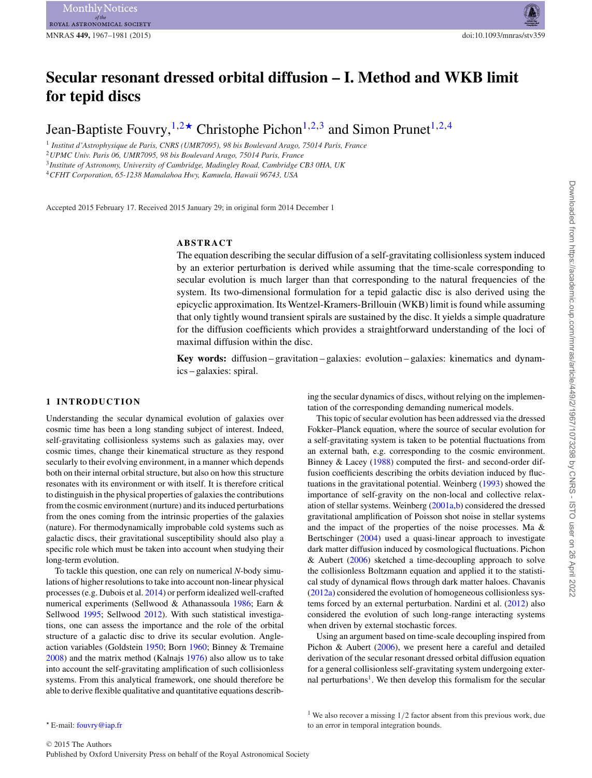# **Secular resonant dressed orbital diffusion – I. Method and WKB limit for tepid discs**

Jean-Baptiste Fouvry,  $1,2\star$  Christophe Pichon<sup>1,2,3</sup> and Simon Prunet<sup>1,2,4</sup>

<sup>1</sup> *Institut d'Astrophysique de Paris, CNRS (UMR7095), 98 bis Boulevard Arago, 75014 Paris, France* <sup>2</sup>*UPMC Univ. Paris 06, UMR7095, 98 bis Boulevard Arago, 75014 Paris, France*

<sup>3</sup>*Institute of Astronomy, University of Cambridge, Madingley Road, Cambridge CB3 0HA, UK*

<sup>4</sup>*CFHT Corporation, 65-1238 Mamalahoa Hwy, Kamuela, Hawaii 96743, USA*

Accepted 2015 February 17. Received 2015 January 29; in original form 2014 December 1

## **ABSTRACT**

The equation describing the secular diffusion of a self-gravitating collisionless system induced by an exterior perturbation is derived while assuming that the time-scale corresponding to secular evolution is much larger than that corresponding to the natural frequencies of the system. Its two-dimensional formulation for a tepid galactic disc is also derived using the epicyclic approximation. Its Wentzel-Kramers-Brillouin (WKB) limit is found while assuming that only tightly wound transient spirals are sustained by the disc. It yields a simple quadrature for the diffusion coefficients which provides a straightforward understanding of the loci of maximal diffusion within the disc.

**Key words:** diffusion – gravitation – galaxies: evolution – galaxies: kinematics and dynamics – galaxies: spiral.

#### **1 INTRODUCTION**

Understanding the secular dynamical evolution of galaxies over cosmic time has been a long standing subject of interest. Indeed, self-gravitating collisionless systems such as galaxies may, over cosmic times, change their kinematical structure as they respond secularly to their evolving environment, in a manner which depends both on their internal orbital structure, but also on how this structure resonates with its environment or with itself. It is therefore critical to distinguish in the physical properties of galaxies the contributions from the cosmic environment (nurture) and its induced perturbations from the ones coming from the intrinsic properties of the galaxies (nature). For thermodynamically improbable cold systems such as galactic discs, their gravitational susceptibility should also play a specific role which must be taken into account when studying their long-term evolution.

To tackle this question, one can rely on numerical *N*-body simulations of higher resolutions to take into account non-linear physical processes (e.g. Dubois et al. 2014) or perform idealized well-crafted numerical experiments (Sellwood & Athanassoula 1986; Earn & Sellwood 1995; Sellwood 2012). With such statistical investigations, one can assess the importance and the role of the orbital structure of a galactic disc to drive its secular evolution. Angleaction variables (Goldstein 1950; Born 1960; Binney & Tremaine 2008) and the matrix method (Kalnajs 1976) also allow us to take into account the self-gravitating amplification of such collisionless systems. From this analytical framework, one should therefore be able to derive flexible qualitative and quantitative equations describing the secular dynamics of discs, without relying on the implementation of the corresponding demanding numerical models.

This topic of secular evolution has been addressed via the dressed Fokker–Planck equation, where the source of secular evolution for a self-gravitating system is taken to be potential fluctuations from an external bath, e.g. corresponding to the cosmic environment. Binney & Lacey (1988) computed the first- and second-order diffusion coefficients describing the orbits deviation induced by fluctuations in the gravitational potential. Weinberg (1993) showed the importance of self-gravity on the non-local and collective relaxation of stellar systems. Weinberg (2001a,b) considered the dressed gravitational amplification of Poisson shot noise in stellar systems and the impact of the properties of the noise processes. Ma & Bertschinger (2004) used a quasi-linear approach to investigate dark matter diffusion induced by cosmological fluctuations. Pichon & Aubert (2006) sketched a time-decoupling approach to solve the collisionless Boltzmann equation and applied it to the statistical study of dynamical flows through dark matter haloes. Chavanis (2012a) considered the evolution of homogeneous collisionless systems forced by an external perturbation. Nardini et al. (2012) also considered the evolution of such long-range interacting systems when driven by external stochastic forces.

Using an argument based on time-scale decoupling inspired from Pichon & Aubert (2006), we present here a careful and detailed derivation of the secular resonant dressed orbital diffusion equation for a general collisionless self-gravitating system undergoing external perturbations<sup>1</sup>. We then develop this formalism for the secular

<sup>1</sup> We also recover a missing  $1/2$  factor absent from this previous work, due to an error in temporal integration bounds.

*<sup>-</sup>* E-mail: [fouvry@iap.fr](mailto:fouvry@iap.fr)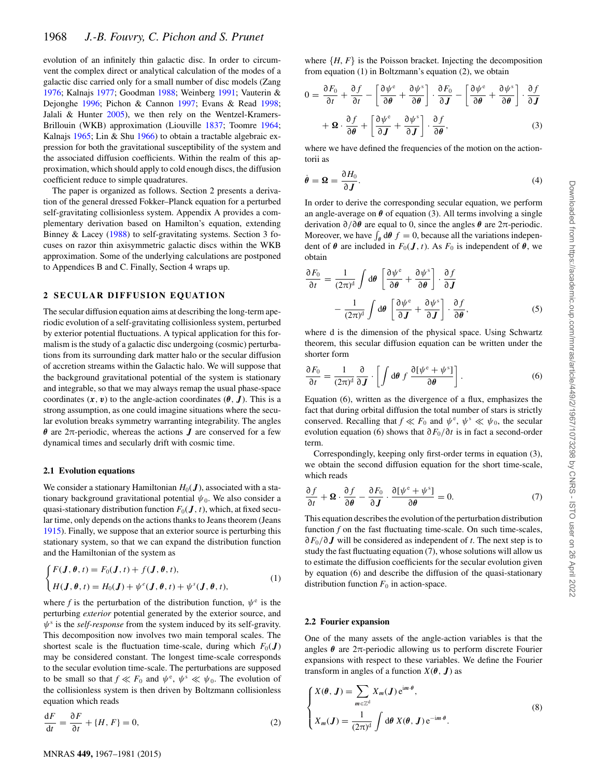evolution of an infinitely thin galactic disc. In order to circumvent the complex direct or analytical calculation of the modes of a galactic disc carried only for a small number of disc models (Zang 1976; Kalnajs 1977; Goodman 1988; Weinberg 1991; Vauterin & Dejonghe 1996; Pichon & Cannon 1997; Evans & Read 1998; Jalali & Hunter 2005), we then rely on the Wentzel-Kramers-Brillouin (WKB) approximation (Liouville 1837; Toomre 1964; Kalnajs 1965; Lin & Shu 1966) to obtain a tractable algebraic expression for both the gravitational susceptibility of the system and the associated diffusion coefficients. Within the realm of this approximation, which should apply to cold enough discs, the diffusion coefficient reduce to simple quadratures.

The paper is organized as follows. Section 2 presents a derivation of the general dressed Fokker–Planck equation for a perturbed self-gravitating collisionless system. Appendix A provides a complementary derivation based on Hamilton's equation, extending Binney & Lacey (1988) to self-gravitating systems. Section 3 focuses on razor thin axisymmetric galactic discs within the WKB approximation. Some of the underlying calculations are postponed to Appendices B and C. Finally, Section 4 wraps up.

#### **2 SECULAR DIFFUSION EQUATION**

The secular diffusion equation aims at describing the long-term aperiodic evolution of a self-gravitating collisionless system, perturbed by exterior potential fluctuations. A typical application for this formalism is the study of a galactic disc undergoing (cosmic) perturbations from its surrounding dark matter halo or the secular diffusion of accretion streams within the Galactic halo. We will suppose that the background gravitational potential of the system is stationary and integrable, so that we may always remap the usual phase-space coordinates  $(x, v)$  to the angle-action coordinates  $(\theta, J)$ . This is a strong assumption, as one could imagine situations where the secular evolution breaks symmetry warranting integrability. The angles *θ* are 2π-periodic, whereas the actions *J* are conserved for a few dynamical times and secularly drift with cosmic time.

#### **2.1 Evolution equations**

We consider a stationary Hamiltonian  $H_0(\mathbf{J})$ , associated with a stationary background gravitational potential  $\psi_0$ . We also consider a quasi-stationary distribution function  $F_0(\boldsymbol{J}, t)$ , which, at fixed secular time, only depends on the actions thanks to Jeans theorem (Jeans 1915). Finally, we suppose that an exterior source is perturbing this stationary system, so that we can expand the distribution function and the Hamiltonian of the system as

$$
\begin{cases}\nF(\mathbf{J}, \boldsymbol{\theta}, t) = F_0(\mathbf{J}, t) + f(\mathbf{J}, \boldsymbol{\theta}, t), \\
H(\mathbf{J}, \boldsymbol{\theta}, t) = H_0(\mathbf{J}) + \psi^e(\mathbf{J}, \boldsymbol{\theta}, t) + \psi^s(\mathbf{J}, \boldsymbol{\theta}, t),\n\end{cases}
$$
\n(1)

where *f* is the perturbation of the distribution function,  $\psi^e$  is the perturbing *exterior* potential generated by the exterior source, and *ψ*<sup>s</sup> is the *self-response* from the system induced by its self-gravity. This decomposition now involves two main temporal scales. The shortest scale is the fluctuation time-scale, during which  $F_0(\boldsymbol{J})$ may be considered constant. The longest time-scale corresponds to the secular evolution time-scale. The perturbations are supposed to be small so that  $f \ll F_0$  and  $\psi^e$ ,  $\psi^s \ll \psi_0$ . The evolution of the collisionless system is then driven by Boltzmann collisionless the collisionless system is then driven by Boltzmann collisionless equation which reads

$$
\frac{\mathrm{d}F}{\mathrm{d}t} = \frac{\partial F}{\partial t} + \{H, F\} = 0,\tag{2}
$$

where  $\{H, F\}$  is the Poisson bracket. Injecting the decomposition from equation (1) in Boltzmann's equation (2), we obtain

$$
0 = \frac{\partial F_0}{\partial t} + \frac{\partial f}{\partial t} - \left[ \frac{\partial \psi^e}{\partial \theta} + \frac{\partial \psi^s}{\partial \theta} \right] \cdot \frac{\partial F_0}{\partial J} - \left[ \frac{\partial \psi^e}{\partial \theta} + \frac{\partial \psi^s}{\partial \theta} \right] \cdot \frac{\partial f}{\partial J}
$$

$$
+ \Omega \cdot \frac{\partial f}{\partial \theta} + \left[ \frac{\partial \psi^e}{\partial J} + \frac{\partial \psi^s}{\partial J} \right] \cdot \frac{\partial f}{\partial \theta}, \tag{3}
$$

where we have defined the frequencies of the motion on the actiontorii as

$$
\dot{\theta} = \Omega = \frac{\partial H_0}{\partial J}.
$$
\n(4)

In order to derive the corresponding secular equation, we perform an angle-average on  $\theta$  of equation (3). All terms involving a single derivation <sup>∂</sup>*/*∂*<sup>θ</sup>* are equal to 0, since the angles *<sup>θ</sup>* are 2π-periodic. Moreover, we have  $\int_{\theta} d\theta f = 0$ , because all the variations independent of  $\theta$  are included in  $F_0(I, t)$  As  $F_0$  is independent of  $\theta$  we dent of  $\theta$  are included in  $F_0(\mathbf{J}, t)$ . As  $F_0$  is independent of  $\theta$ , we obtain

$$
\frac{\partial F_0}{\partial t} = \frac{1}{(2\pi)^d} \int d\theta \left[ \frac{\partial \psi^e}{\partial \theta} + \frac{\partial \psi^s}{\partial \theta} \right] \cdot \frac{\partial f}{\partial J} \n- \frac{1}{(2\pi)^d} \int d\theta \left[ \frac{\partial \psi^e}{\partial J} + \frac{\partial \psi^s}{\partial J} \right] \cdot \frac{\partial f}{\partial \theta},
$$
\n(5)

where d is the dimension of the physical space. Using Schwartz theorem, this secular diffusion equation can be written under the shorter form

$$
\frac{\partial F_0}{\partial t} = \frac{1}{(2\pi)^d} \frac{\partial}{\partial \mathbf{J}} \cdot \left[ \int d\boldsymbol{\theta} \, f \, \frac{\partial [\psi^e + \psi^s]}{\partial \boldsymbol{\theta}} \right]. \tag{6}
$$

Equation (6), written as the divergence of a flux, emphasizes the fact that during orbital diffusion the total number of stars is strictly conserved. Recalling that  $f \ll F_0$  and  $\psi^e$ ,  $\psi^s \ll \psi_0$ , the secular evolution equation (6) shows that  $\partial F_0/\partial t$  is in fact a second-order evolution equation (6) shows that <sup>∂</sup>*F*<sup>0</sup>*/*∂*<sup>t</sup>* is in fact a second-order term.

Correspondingly, keeping only first-order terms in equation (3), we obtain the second diffusion equation for the short time-scale, which reads

$$
\frac{\partial f}{\partial t} + \mathbf{\Omega} \cdot \frac{\partial f}{\partial \theta} - \frac{\partial F_0}{\partial \mathbf{J}} \cdot \frac{\partial [\psi^e + \psi^s]}{\partial \theta} = 0. \tag{7}
$$

This equation describes the evolution of the perturbation distribution function *f* on the fast fluctuating time-scale. On such time-scales, ∂*F*<sub>0</sub>/∂*J* will be considered as independent of *t*. The next step is to study the fast fluctuating equation (7), whose solutions will allow us to estimate the diffusion coefficients for the secular evolution given by equation (6) and describe the diffusion of the quasi-stationary distribution function  $F_0$  in action-space.

#### **2.2 Fourier expansion**

One of the many assets of the angle-action variables is that the angles  $\theta$  are  $2\pi$ -periodic allowing us to perform discrete Fourier expansions with respect to these variables. We define the Fourier transform in angles of a function  $X(\theta, \mathbf{J})$  as

$$
\begin{cases}\nX(\theta, \mathbf{J}) = \sum_{m \in \mathbb{Z}^d} X_m(\mathbf{J}) e^{im \cdot \theta}, \\
X_m(\mathbf{J}) = \frac{1}{(2\pi)^d} \int d\theta \, X(\theta, \mathbf{J}) e^{-im \cdot \theta}.\n\end{cases}
$$
\n(8)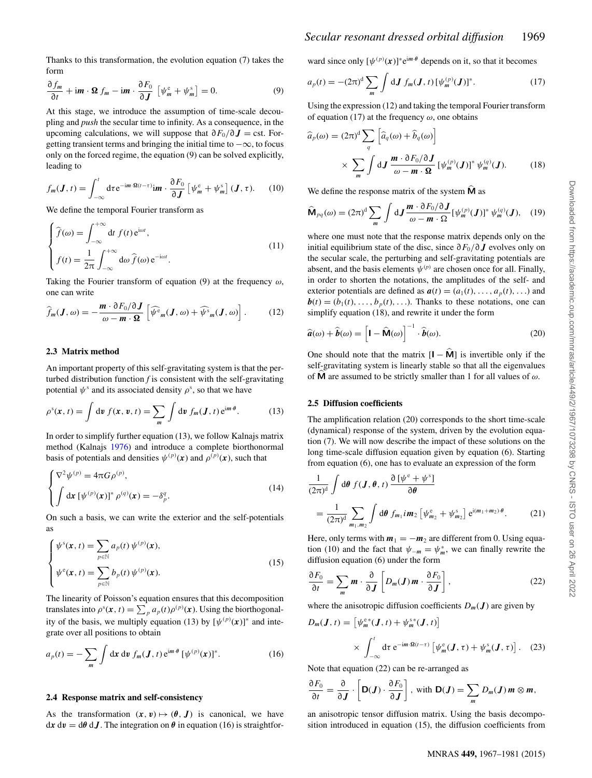Thanks to this transformation, the evolution equation (7) takes the form

$$
\frac{\partial f_m}{\partial t} + \mathbf{i}m \cdot \mathbf{\Omega} f_m - \mathbf{i}m \cdot \frac{\partial F_0}{\partial J} \left[ \psi_m^e + \psi_m^s \right] = 0. \tag{9}
$$

 $\partial t$   $\partial J$ <sup>[ $\cdots$  *m*</sup>] pling and *push* the secular time to infinity. As a consequence, in the upcoming calculations, we will suppose that  $\partial F_0 / \partial J = \text{cst. For-}$ getting transient terms and bringing the initial time to  $-\infty$ , to focus only on the forced regime, the equation (9) can be solved explicitly, leading to

$$
f_m(\boldsymbol{J},t) = \int_{-\infty}^t \mathrm{d}\tau \, \mathrm{e}^{-\mathrm{i}m\cdot\Omega(t-\tau)} \mathrm{i}m \cdot \frac{\partial F_0}{\partial \boldsymbol{J}} \left[ \psi_m^\mathrm{e} + \psi_m^\mathrm{s} \right] (\boldsymbol{J},\tau). \tag{10}
$$

We define the temporal Fourier transform as

$$
\begin{cases}\n\hat{f}(\omega) = \int_{-\infty}^{+\infty} dt f(t) e^{i\omega t}, \\
f(t) = \frac{1}{2\pi} \int_{-\infty}^{+\infty} d\omega \,\hat{f}(\omega) e^{-i\omega t}.\n\end{cases}
$$
\n(11)

Taking the Fourier transform of equation (9) at the frequency *ω*, one can write

$$
\widehat{f}_m(\boldsymbol{J},\omega) = -\frac{\boldsymbol{m} \cdot \partial F_0/\partial \boldsymbol{J}}{\omega - \boldsymbol{m} \cdot \Omega} \left[ \widehat{\psi^c}_m(\boldsymbol{J},\omega) + \widehat{\psi^s}_m(\boldsymbol{J},\omega) \right]. \tag{12}
$$

#### **2.3 Matrix method**

An important property of this self-gravitating system is that the perturbed distribution function *f* is consistent with the self-gravitating potential  $\psi^s$  and its associated density  $\rho^s$ , so that we have

$$
\rho^{s}(\mathbf{x}, t) = \int \mathrm{d}\mathbf{v} \, f(\mathbf{x}, \mathbf{v}, t) = \sum_{m} \int \mathrm{d}\mathbf{v} \, f_{m}(\mathbf{J}, t) \, \mathrm{e}^{\mathrm{i}m \cdot \theta}.
$$
 (13)

In order to simplify further equation (13), we follow Kalnajs matrix method (Kalnajs 1976) and introduce a complete biorthonormal basis of potentials and densities  $\psi^{(p)}(x)$  and  $\rho^{(p)}(x)$ , such that

$$
\begin{cases} \nabla^2 \psi^{(p)} = 4\pi G \rho^{(p)}, \\ \int d\mathbf{x} \left[ \psi^{(p)}(\mathbf{x}) \right]^* \rho^{(q)}(\mathbf{x}) = -\delta_p^q. \end{cases} \tag{14}
$$

On such a basis, we can write the exterior and the self-potentials as

$$
\begin{cases}\n\psi^s(\mathbf{x}, t) = \sum_{p \in \mathbb{N}} a_p(t) \, \psi^{(p)}(\mathbf{x}), \\
\psi^e(\mathbf{x}, t) = \sum_{p \in \mathbb{N}} b_p(t) \, \psi^{(p)}(\mathbf{x}).\n\end{cases} \tag{15}
$$

The linearity of Poisson's equation ensures that this decomposition translates into  $\rho^s(\mathbf{x}, t) = \sum_p a_p(t) \rho^{(p)}(\mathbf{x})$ . Using the biorthogonal-<br>ity of the besis, we multiply equation (13) by  $\Gamma^{(p)}(\mathbf{x})$ <sup>1</sup> and inte ity of the basis, we multiply equation (13) by  $[\psi^{(p)}(\mathbf{x})]^*$  and inte-<br>grate over all positions to obtain grate over all positions to obtain

$$
a_p(t) = -\sum_m \int \mathrm{d}\mathbf{x} \, \mathrm{d}\mathbf{v} \, f_m(\mathbf{J}, t) \, \mathrm{e}^{\mathrm{i}m \cdot \theta} \left[ \psi^{(p)}(\mathbf{x}) \right]^* . \tag{16}
$$

#### **2.4 Response matrix and self-consistency**

As the transformation  $(x, v) \mapsto (\theta, J)$  is canonical, we have  $dx dv = d\theta dJ$ . The integration on  $\theta$  in equation (16) is straightforward since only  $[\psi^{(p)}(x)]^* e^{im \theta}$  depends on it, so that it becomes

$$
a_p(t) = -(2\pi)^d \sum_m \int \mathrm{d} \mathbf{J} \, f_m(\mathbf{J}, t) \, [\psi_m^{(p)}(\mathbf{J})]^*.
$$
 (17)

Using the expression (12) and taking the temporal Fourier transform of equation (17) at the frequency  $\omega$ , one obtains

$$
\widehat{a}_p(\omega) = (2\pi)^d \sum_q \left[ \widehat{a}_q(\omega) + \widehat{b}_q(\omega) \right]
$$

$$
\times \sum_m \int dJ \frac{\mathbf{m} \cdot \partial F_0}{\omega - \mathbf{m} \cdot \mathbf{\Omega}} \left[ \psi_m^{(p)}(\mathbf{J}) \right]^* \psi_m^{(q)}(\mathbf{J}). \tag{18}
$$

We define the response matrix of the system **M** as

$$
\widehat{\mathbf{M}}_{pq}(\omega) = (2\pi)^d \sum_{m} \int dJ \frac{\mathbf{m} \cdot \partial F_0/\partial J}{\omega - \mathbf{m} \cdot \Omega} [\psi_m^{(p)}(J)]^* \psi_m^{(q)}(J), \quad (19)
$$

where one must note that the response matrix depends only on the initial equilibrium state of the disc, since <sup>∂</sup>*F*<sup>0</sup>*/*<sup>∂</sup> *<sup>J</sup>* evolves only on the secular scale, the perturbing and self-gravitating potentials are absent, and the basis elements  $\psi^{(p)}$  are chosen once for all. Finally, in order to shorten the notations, the amplitudes of the self- and exterior potentials are defined as  $a(t) = (a_1(t), \ldots, a_n(t), \ldots)$  and  **Thanks to these notations, one can** simplify equation (18), and rewrite it under the form

$$
\widehat{\boldsymbol{a}}(\omega) + \widehat{\boldsymbol{b}}(\omega) = \left[ \mathbf{I} - \widehat{\mathbf{M}}(\omega) \right]^{-1} \cdot \widehat{\boldsymbol{b}}(\omega). \tag{20}
$$

One should note that the matrix  $[I - \hat{M}]$  is invertible only if the self-gravitating system is linearly stable so that all the eigenvalues of **<sup>M</sup>** are assumed to be strictly smaller than 1 for all values of *ω*.

#### **2.5 Diffusion coefficients**

The amplification relation (20) corresponds to the short time-scale (dynamical) response of the system, driven by the evolution equation (7). We will now describe the impact of these solutions on the long time-scale diffusion equation given by equation (6). Starting from equation (6), one has to evaluate an expression of the form

$$
\frac{1}{(2\pi)^d} \int d\theta \ f(\mathbf{J}, \theta, t) \frac{\partial [\psi^e + \psi^s]}{\partial \theta}
$$

$$
= \frac{1}{(2\pi)^d} \sum_{m_1, m_2} \int d\theta \ f_{m_1} i \mathbf{m}_2 \left[ \psi_{m_2}^e + \psi_{m_2}^s \right] e^{i(m_1 + m_2)\cdot \theta}. \tag{21}
$$

Here, only terms with  $m_1 = -m_2$  are different from 0. Using equation (10) and the fact that  $\psi_{-m} = \psi_m^*$ , we can finally rewrite the diffusion equation (6) under the form diffusion equation (6) under the form

$$
\frac{\partial F_0}{\partial t} = \sum_m \boldsymbol{m} \cdot \frac{\partial}{\partial \boldsymbol{J}} \left[ D_m(\boldsymbol{J}) \boldsymbol{m} \cdot \frac{\partial F_0}{\partial \boldsymbol{J}} \right],
$$
 (22)

where the anisotropic diffusion coefficients  $D_m(\mathbf{J})$  are given by<br> $D_m(\mathbf{J}, t) = [\psi_{m}^{e,*}( \mathbf{J}, t) + \psi_{m}^{e,*}( \mathbf{J}, t)]$ 

$$
D_m(\boldsymbol{J}, t) = \left[ \psi_m^{\varepsilon*}(\boldsymbol{J}, t) + \psi_m^{\varepsilon*}(\boldsymbol{J}, t) \right]
$$

$$
\times \int_{-\infty}^t \mathrm{d}\tau \, \mathrm{e}^{-\mathrm{i}m \cdot \Omega(t-\tau)} \left[ \psi_m^{\varepsilon}(\boldsymbol{J}, \tau) + \psi_m^{\varepsilon}(\boldsymbol{J}, \tau) \right]. \tag{23}
$$

Note that equation (22) can be re-arranged as

$$
\frac{\partial F_0}{\partial t} = \frac{\partial}{\partial J} \cdot \left[ \mathbf{D}(J) \cdot \frac{\partial F_0}{\partial J} \right], \text{ with } \mathbf{D}(J) = \sum_m D_m(J) m \otimes m,
$$

an anisotropic tensor diffusion matrix. Using the basis decomposition introduced in equation (15), the diffusion coefficients from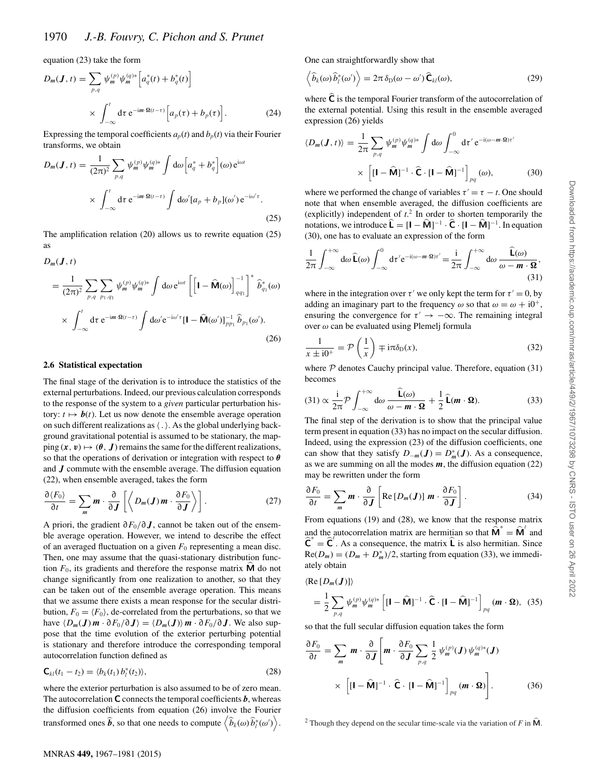equation (23) take the form

$$
D_m(\mathbf{J}, t) = \sum_{p,q} \psi_m^{(p)} \psi_m^{(q)*} \left[ a_q^*(t) + b_q^*(t) \right]
$$
  
 
$$
\times \int_{-\infty}^t \mathrm{d}\tau \, \mathrm{e}^{-\mathrm{i}m \cdot \Omega(t-\tau)} \left[ a_p(\tau) + b_p(\tau) \right]. \tag{24}
$$

Expressing the temporal coefficients  $a_p(t)$  and  $b_p(t)$  via their Fourier transforms, we obtain

$$
D_m(\boldsymbol{J}, t) = \frac{1}{(2\pi)^2} \sum_{p,q} \psi_m^{(p)} \psi_m^{(q)*} \int d\omega \Big[ a_q^* + b_q^* \Big] (\omega) e^{i\omega t}
$$
  
 
$$
\times \int_{-\infty}^t d\tau e^{-im \cdot \Omega(t-\tau)} \int d\omega' [a_p + b_p] (\omega') e^{-i\omega' \tau} .
$$
 (25)

The amplification relation (20) allows us to rewrite equation (25) as

$$
D_m(\mathbf{J}, t)
$$
\n
$$
= \frac{1}{(2\pi)^2} \sum_{p,q} \sum_{p_1,q_1} \psi_m^{(p)} \psi_m^{(q)*} \int d\omega \, e^{i\omega t} \left[ \left[ \mathbf{I} - \widehat{\mathbf{M}}(\omega) \right]_{qq_1}^{-1} \right]^* \widehat{b}_{q_1}^*(\omega)
$$
\n
$$
\times \int_{-\infty}^t d\tau \, e^{-im \cdot \mathbf{\Omega}(t-\tau)} \int d\omega' e^{-i\omega'\tau} \left[ \mathbf{I} - \widehat{\mathbf{M}}(\omega') \right]_{pp_1}^{-1} \widehat{b}_{p_1}(\omega'). \tag{26}
$$

#### **2.6 Statistical expectation**

The final stage of the derivation is to introduce the statistics of the external perturbations. Indeed, our previous calculation corresponds to the response of the system to a *given* particular perturbation history:  $t \mapsto b(t)$ . Let us now denote the ensemble average operation on such different realizations as  $\langle . \rangle$ . As the global underlying background gravitational potential is assumed to be stationary, the mapping  $(x, v) \mapsto (\theta, J)$  remains the same for the different realizations, so that the operations of derivation or integration with respect to *θ* and *J* commute with the ensemble average. The diffusion equation (22), when ensemble averaged, takes the form

$$
\frac{\partial \langle F_0 \rangle}{\partial t} = \sum_m m \cdot \frac{\partial}{\partial J} \left[ \left\langle D_m(J) \, m \cdot \frac{\partial F_0}{\partial J} \right\rangle \right]. \tag{27}
$$

A priori, the gradient <sup>∂</sup>*F*<sup>0</sup>*/*<sup>∂</sup> *<sup>J</sup>*, cannot be taken out of the ensemble average operation. However, we intend to describe the effect of an averaged fluctuation on a given  $F_0$  representing a mean disc. Then, one may assume that the quasi-stationary distribution function  $F_0$ , its gradients and therefore the response matrix  $\hat{M}$  do not change significantly from one realization to another, so that they can be taken out of the ensemble average operation. This means that we assume there exists a mean response for the secular distribution,  $F_0 = \langle F_0 \rangle$ , de-correlated from the perturbations, so that we have  $\langle D_m(\mathbf{J}) \mathbf{m} \cdot \partial F_0 / \partial \mathbf{J} \rangle = \langle D_m(\mathbf{J}) \rangle \mathbf{m} \cdot \partial F_0 / \partial \mathbf{J}$ . We also suppose that the time evolution of the exterior perturbing potential is stationary and therefore introduce the corresponding temporal autocorrelation function defined as

$$
\mathbf{C}_{kl}(t_1 - t_2) = \langle b_k(t_1) b_l^*(t_2) \rangle, \tag{28}
$$

where the exterior perturbation is also assumed to be of zero mean. The autocorrelation  $C$  connects the temporal coefficients  $\boldsymbol{b}$ , whereas the diffusion coefficients from equation (26) involve the Fourier transformed ones  $\hat{b}$ , so that one needs to compute  $\left\langle \hat{b}_k(\omega)\hat{b}_l^*(\omega') \right\rangle$ .

One can straightforwardly show that

$$
\left\langle \widehat{b}_{k}(\omega)\widehat{b}_{l}^{*}(\omega')\right\rangle = 2\pi\delta_{\mathrm{D}}(\omega-\omega')\widehat{\mathbf{C}}_{kl}(\omega),\tag{29}
$$

where  $\hat{C}$  is the temporal Fourier transform of the autocorrelation of the external potential. Using this result in the ensemble averaged expression (26) yields

$$
\langle D_m(\mathbf{J}, t) \rangle = \frac{1}{2\pi} \sum_{p,q} \psi_m^{(p)} \psi_m^{(q)*} \int d\omega \int_{-\infty}^0 d\tau' e^{-i(\omega - m \cdot \Omega)\tau'}
$$

$$
\times \left[ [\mathbf{I} - \widehat{\mathbf{M}}]^{-1} \cdot \widehat{\mathbf{C}} \cdot [\mathbf{I} - \widehat{\mathbf{M}}]^{-1} \right]_{pq} (\omega), \tag{30}
$$

where we performed the change of variables  $\tau' = \tau - t$ . One should note that when ensemble averaged, the diffusion coefficients are (explicitly) independent of  $t<sup>2</sup>$ . In order to shorten temporarily the notations, we introduce  $\mathbf{L} = [\mathbf{I} - \mathbf{M}]^{-1} \cdot \mathbf{C} \cdot [\mathbf{I} - \mathbf{M}]^{-1}$ . In equation (30), one has to evaluate an expression of the form

$$
\frac{1}{2\pi} \int_{-\infty}^{+\infty} d\omega \, \widehat{\mathbf{L}}(\omega) \int_{-\infty}^{0} d\tau' e^{-i(\omega - m \cdot \Omega)\tau'} = \frac{i}{2\pi} \int_{-\infty}^{+\infty} d\omega \, \frac{\widehat{\mathbf{L}}(\omega)}{\omega - m \cdot \Omega},\tag{31}
$$

where in the integration over  $\tau'$  we only kept the term for  $\tau' = 0$ , by adding an imaginary part to the frequency  $\omega$  so that  $\omega = \omega + i0^+,$ ensuring the convergence for  $\tau' \rightarrow -\infty$ . The remaining integral over *ω* can be evaluated using Plemelj formula

$$
\frac{1}{x \pm i0^{+}} = \mathcal{P}\left(\frac{1}{x}\right) \mp i\pi\delta_{D}(x),
$$
 (32)  
where  $\mathcal{P}$  denotes Cauchy principal value. Therefore, equation (31)

becomes

$$
(31) \propto \frac{i}{2\pi} \mathcal{P} \int_{-\infty}^{+\infty} d\omega \, \frac{\widehat{\mathbf{L}}(\omega)}{\omega - \mathbf{m} \cdot \mathbf{\Omega}} + \frac{1}{2} \, \widehat{\mathbf{L}}(\mathbf{m} \cdot \mathbf{\Omega}).
$$

The final step of the derivation is to show that the principal value term present in equation (33) has no impact on the secular diffusion. Indeed, using the expression (23) of the diffusion coefficients, one can show that they satisfy  $D_{-m}(J) = D_m^*(J)$ . As a consequence, as we are summing on all the modes *m* the diffusion equation (22) as we are summing on all the modes *m*, the diffusion equation (22) may be rewritten under the form

$$
\frac{\partial F_0}{\partial t} = \sum_m \boldsymbol{m} \cdot \frac{\partial}{\partial \boldsymbol{J}} \left[ \text{Re} \left[ D_m(\boldsymbol{J}) \right] \boldsymbol{m} \cdot \frac{\partial F_0}{\partial \boldsymbol{J}} \right]. \tag{34}
$$

From equations (19) and (28), we know that the response matrix and the autocorrelation matrix are hermitian so that  $\hat{\mathbf{M}}^* = \hat{\mathbf{M}}^t$  and  $\hat{\mathbf{C}}^* = \hat{\mathbf{C}}^T$ . As a consequence, the matrix  $\hat{\mathbf{L}}$  is also hermitian. Since  $Re(D_m) = (D_m + D_m^*)/2$ , starting from equation (33), we immedi-<br>ately obtain ately obtain

$$
\langle \operatorname{Re} \left[ D_m(\boldsymbol{J}) \right] \rangle
$$
  
=  $\frac{1}{2} \sum_{p,q} \psi_m^{(p)} \psi_m^{(q)*} \left[ [\mathbf{I} - \widehat{\mathbf{M}}]^{-1} \cdot \widehat{\mathbf{C}} \cdot [\mathbf{I} - \widehat{\mathbf{M}}]^{-1} \right]_{pq} (\boldsymbol{m} \cdot \boldsymbol{\Omega}),$  (35)

so that the full secular diffusion equation takes the form

$$
\frac{\partial F_0}{\partial t} = \sum_m \boldsymbol{m} \cdot \frac{\partial}{\partial \boldsymbol{J}} \left[ \boldsymbol{m} \cdot \frac{\partial F_0}{\partial \boldsymbol{J}} \sum_{p,q} \frac{1}{2} \psi_m^{(p)}(\boldsymbol{J}) \psi_m^{(q)*}(\boldsymbol{J}) \right] \times \left[ [\mathbf{I} - \widehat{\mathbf{M}}]^{-1} \cdot \widehat{\mathbf{C}} \cdot [\mathbf{I} - \widehat{\mathbf{M}}]^{-1} \right]_{pq} (\boldsymbol{m} \cdot \boldsymbol{\Omega}) \right]. \tag{36}
$$

<sup>&</sup>lt;sup>2</sup> Though they depend on the secular time-scale via the variation of  $F$  in  $\hat{M}$ .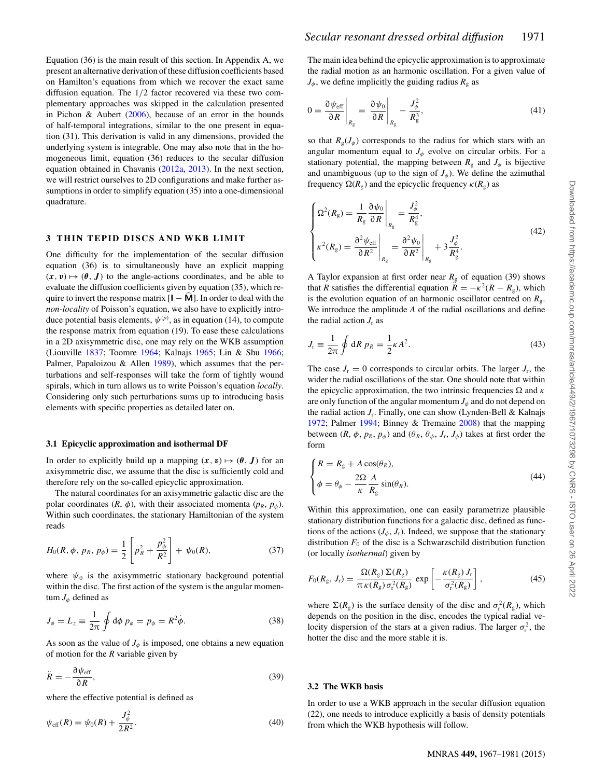Equation (36) is the main result of this section. In Appendix A, we present an alternative derivation of these diffusion coefficients based on Hamilton's equations from which we recover the exact same diffusion equation. The 1*/*2 factor recovered via these two complementary approaches was skipped in the calculation presented in Pichon & Aubert (2006), because of an error in the bounds of half-temporal integrations, similar to the one present in equation (31). This derivation is valid in any dimensions, provided the underlying system is integrable. One may also note that in the homogeneous limit, equation (36) reduces to the secular diffusion equation obtained in Chavanis (2012a, 2013). In the next section, we will restrict ourselves to 2D configurations and make further assumptions in order to simplify equation (35) into a one-dimensional quadrature.

### **3 THIN TEPID DISCS AND WKB LIMIT**

One difficulty for the implementation of the secular diffusion equation (36) is to simultaneously have an explicit mapping  $(x, v) \mapsto (\theta, J)$  to the angle-actions coordinates, and be able to evaluate the diffusion coefficients given by equation (35), which require to invert the response matrix  $[I - \hat{M}]$ . In order to deal with the *non-locality* of Poisson's equation, we also have to explicitly introduce potential basis elements,  $\psi^{(p)}$ , as in equation (14), to compute the response matrix from equation (19). To ease these calculations the response matrix from equation (19). To ease these calculations in a 2D axisymmetric disc, one may rely on the WKB assumption (Liouville 1837; Toomre 1964; Kalnajs 1965; Lin & Shu 1966; Palmer, Papaloizou & Allen 1989), which assumes that the perturbations and self-responses will take the form of tightly wound spirals, which in turn allows us to write Poisson's equation *locally*. Considering only such perturbations sums up to introducing basis elements with specific properties as detailed later on.

#### **3.1 Epicyclic approximation and isothermal DF**

In order to explicitly build up a mapping  $(x, v) \mapsto (\theta, J)$  for an axisymmetric disc, we assume that the disc is sufficiently cold and therefore rely on the so-called epicyclic approximation.

The natural coordinates for an axisymmetric galactic disc are the polar coordinates  $(R, \phi)$ , with their associated momenta  $(p_R, p_\phi)$ . Within such coordinates, the stationary Hamiltonian of the system reads

$$
H_0(R, \phi, p_R, p_{\phi}) = \frac{1}{2} \left[ p_R^2 + \frac{p_{\phi}^2}{R^2} \right] + \psi_0(R), \tag{37}
$$

where  $\psi_0$  is the axisymmetric stationary background potential within the disc. The first action of the system is the angular momentum  $J_{\phi}$  defined as

$$
J_{\phi} = L_z \equiv \frac{1}{2\pi} \oint d\phi \, p_{\phi} = p_{\phi} = R^2 \dot{\phi}.
$$
 (38)

As soon as the value of  $J_{\phi}$  is imposed, one obtains a new equation of motion for the *R* variable given by

$$
\ddot{R} = -\frac{\partial \psi_{\text{eff}}}{\partial R},\tag{39}
$$

where the effective potential is defined as

$$
\psi_{\rm eff}(R) = \psi_0(R) + \frac{J_{\phi}^2}{2R^2}.
$$
\n(40)

The main idea behind the epicyclic approximation is to approximate the radial motion as an harmonic oscillation. For a given value of  $J_{\phi}$ , we define implicitly the guiding radius  $R_{\rm g}$  as

$$
0 = \frac{\partial \psi_{\text{eff}}}{\partial R}\Big|_{R_{\text{g}}} = \frac{\partial \psi_0}{\partial R}\Big|_{R_{\text{g}}} - \frac{J_{\phi}^2}{R_{\text{g}}^3},\tag{41}
$$

so that  $R_g(J_\phi)$  corresponds to the radius for which stars with an angular momentum equal to  $J_\phi$  evolve on circular orbits. For a stationary potential, the mapping between  $R_g$  and  $J_\phi$  is bijective and unambiguous (up to the sign of  $J_\phi$ ). We define the azimuthal frequency  $\Omega(R_g)$  and the epicyclic frequency *κ*( $R_g$ ) as

$$
\begin{cases}\n\Omega^2(R_g) = \frac{1}{R_g} \frac{\partial \psi_0}{\partial R}\Big|_{R_g} = \frac{J_\phi^2}{R_g^4},\\
\kappa^2(R_g) = \frac{\partial^2 \psi_{\text{eff}}}{\partial R^2}\Big|_{R_g} = \frac{\partial^2 \psi_0}{\partial R^2}\Big|_{R_g} + 3\frac{J_\phi^2}{R_g^4}.\n\end{cases}
$$
\n(42)

A Taylor expansion at first order near  $R<sub>g</sub>$  of equation (39) shows that *R* satisfies the differential equation  $\ddot{R} = -\kappa^2(R - R_g)$ , which is the evolution equation of an harmonic oscillator centred on  $R_{\varrho}$ . We introduce the amplitude *A* of the radial oscillations and define the radial action  $J_r$  as

$$
J_{\rm r} \equiv \frac{1}{2\pi} \oint dR \, p_R = \frac{1}{2} \kappa A^2. \tag{43}
$$

The case  $J_r = 0$  corresponds to circular orbits. The larger  $J_r$ , the wider the radial oscillations of the star. One should note that within the epicyclic approximation, the two intrinsic frequencies  $\Omega$  and  $\kappa$ are only function of the angular momentum  $J_\phi$  and do not depend on the radial action  $J_r$ . Finally, one can show (Lynden-Bell & Kalnajs 1972; Palmer 1994; Binney & Tremaine 2008) that the mapping between  $(R, \phi, p_R, p_\phi)$  and  $(\theta_R, \theta_\phi, J_r, J_\phi)$  takes at first order the form

$$
\begin{cases}\nR = R_{g} + A \cos(\theta_{R}), \\
\phi = \theta_{\phi} - \frac{2\Omega}{\kappa} \frac{A}{R_{g}} \sin(\theta_{R}).\n\end{cases}
$$
\n(44)

Within this approximation, one can easily parametrize plausible stationary distribution functions for a galactic disc, defined as functions of the actions  $(J_{\phi}, J_{r})$ . Indeed, we suppose that the stationary distribution  $F_0$  of the disc is a Schwarzschild distribution function (or locally *isothermal*) given by

$$
F_0(R_g, J_r) = \frac{\Omega(R_g) \Sigma(R_g)}{\pi \kappa(R_g) \sigma_r^2(R_g)} \exp\left[-\frac{\kappa(R_g) J_r}{\sigma_r^2(R_g)}\right],
$$
 (45)

where  $\Sigma(R_g)$  is the surface density of the disc and  $\sigma_r^2(R_g)$ , which<br>denends on the position in the disc encodes the typical radial vedepends on the position in the disc, encodes the typical radial velocity dispersion of the stars at a given radius. The larger  $\sigma_r^2$ , the hotter the disc and the more stable it is hotter the disc and the more stable it is.

#### **3.2 The WKB basis**

In order to use a WKB approach in the secular diffusion equation (22), one needs to introduce explicitly a basis of density potentials from which the WKB hypothesis will follow.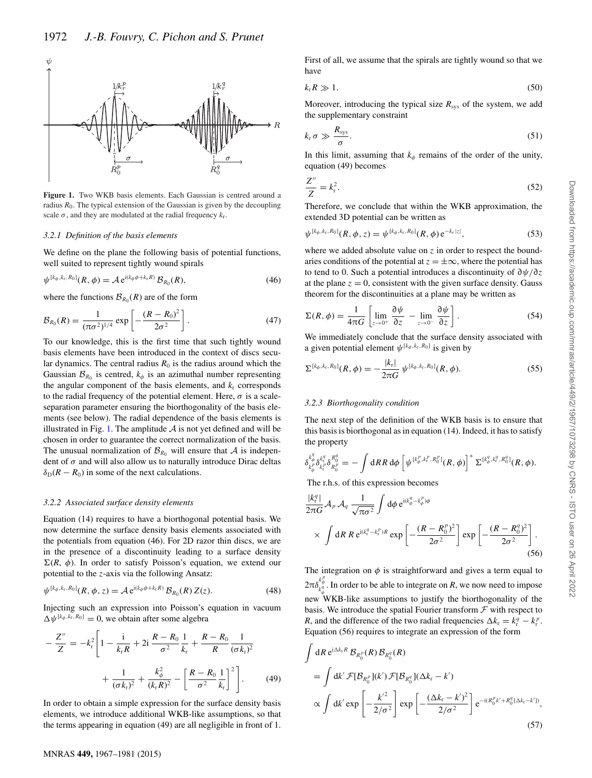

**Figure 1.** Two WKB basis elements. Each Gaussian is centred around a radius  $R_0$ . The typical extension of the Gaussian is given by the decoupling scale  $\sigma$ , and they are modulated at the radial frequency  $k_r$ .

#### *3.2.1 Definition of the basis elements*

We define on the plane the following basis of potential functions, well suited to represent tightly wound spirals

$$
\psi^{[k_{\phi},k_{\tau},R_0]}(R,\phi) = A e^{i(k_{\phi}\phi + k_{\tau}R)} \mathcal{B}_{R_0}(R),\tag{46}
$$

where the functions  $\mathcal{B}_{R_0}(R)$  are of the form

$$
\mathcal{B}_{R_0}(R) = \frac{1}{(\pi \sigma^2)^{1/4}} \exp\left[-\frac{(R - R_0)^2}{2\sigma^2}\right].
$$
 (47)

To our knowledge, this is the first time that such tightly wound basis elements have been introduced in the context of discs secular dynamics. The central radius  $R_0$  is the radius around which the Gaussian  $\mathcal{B}_{R_0}$  is centred,  $k_{\phi}$  is an azimuthal number representing the angular component of the basis elements, and  $k_r$  corresponds to the radial frequency of the potential element. Here,  $\sigma$  is a scaleseparation parameter ensuring the biorthogonality of the basis elements (see below). The radial dependence of the basis elements is illustrated in Fig. 1. The amplitude  $A$  is not yet defined and will be chosen in order to guarantee the correct normalization of the basis. The unusual normalization of  $\mathcal{B}_{R_0}$  will ensure that A is independent of *σ* and will also allow us to naturally introduce Dirac deltas  $\delta_D(R - R_0)$  in some of the next calculations.

#### *3.2.2 Associated surface density elements*

Equation (14) requires to have a biorthogonal potential basis. We now determine the surface density basis elements associated with the potentials from equation (46). For 2D razor thin discs, we are in the presence of a discontinuity leading to a surface density  $\Sigma(R, \phi)$ . In order to satisfy Poisson's equation, we extend our potential to the *z*-axis via the following Ansatz:

$$
\psi^{[k_{\phi},k_{\tau},R_0]}(R,\phi,z) = \mathcal{A} e^{\mathrm{i}(k_{\phi}\phi + k_{\tau}R)} \mathcal{B}_{R_0}(R) Z(z). \tag{48}
$$

Injecting such an expression into Poisson's equation in vacuum  $\Delta \psi^{[k_\phi, k_r, R_0]} = 0$ , we obtain after some algebra

$$
-\frac{Z''}{Z} = -k_r^2 \left[ 1 - \frac{i}{k_r R} + 2i \frac{R - R_0}{\sigma^2} \frac{1}{k_r} + \frac{R - R_0}{R} \frac{1}{(\sigma k_r)^2} + \frac{1}{(\sigma k_r)^2} + \frac{k_\phi^2}{(k_r R)^2} - \left[ \frac{R - R_0}{\sigma^2} \frac{1}{k_r} \right]^2 \right].
$$
 (49)

In order to obtain a simple expression for the surface density basis elements, we introduce additional WKB-like assumptions, so that the terms appearing in equation (49) are all negligible in front of 1.

have  $k_{\rm r}R \gg 1.$  (50)

Moreover, introducing the typical size  $R_{sys}$  of the system, we add the supplementary constraint

First of all, we assume that the spirals are tightly wound so that we

$$
k_{\rm r} \sigma \gg \frac{R_{\rm sys}}{\sigma}.
$$
\nIn this limit, assuming that  $k_{\rm r}$  requires a  $f$  the order of the unit.

In this limit, assuming that  $k_{\phi}$  remains of the order of the unity, countion (40) becomes equation (49) becomes

$$
\frac{Z''}{Z} = k_r^2.
$$
 (52)  
Therefore, we conclude that within the WKB approximation, the

extended 3D potential can be written as

$$
\psi^{[k_{\phi},k_{\rm r},R_{\rm 0}]}(R,\phi,z) = \psi^{[k_{\phi},k_{\rm r},R_{\rm 0}]}(R,\phi) e^{-k_{r}|z|},\tag{53}
$$

where we added absolute value on *z* in order to respect the boundaries conditions of the potential at  $z = \pm \infty$ , where the potential has to tend to 0. Such a potential introduces a discontinuity of <sup>∂</sup>*ψ/*∂*z* at the plane  $z = 0$ , consistent with the given surface density. Gauss theorem for the discontinuities at a plane may be written as

$$
\Sigma(R,\phi) = \frac{1}{4\pi G} \left[ \lim_{z \to 0^+} \frac{\partial \psi}{\partial z} - \lim_{z \to 0^-} \frac{\partial \psi}{\partial z} \right].
$$
\n(54)

We immediately conclude that the surface density associated with a given potential element  $\psi^{[k_\phi, k_\text{r}, R_0]}$  is given by

$$
\Sigma^{[k_{\phi},k_{\rm r},R_0]}(R,\phi) = -\frac{|k_{\rm r}|}{2\pi G} \psi^{[k_{\phi},k_{\rm r},R_0]}(R,\phi). \tag{55}
$$

#### *3.2.3 Biorthogonality condition*

The next step of the definition of the WKB basis is to ensure that this basis is biorthogonal as in equation (14). Indeed, it has to satisfy the property

$$
\delta_{k^{\overline{\theta}}_{\phi}}^{k^{\overline{\theta}}_{\phi}}\delta_{k^{\overline{\theta}}_{\tau}}^{k^{\overline{\theta}}_{\tau}}\delta_{R^{\theta}_{0}}^{\theta}=-\int \mathrm{d}R R \, \mathrm{d}\phi \left[\psi^{[k^{\overline{\rho}}_{\phi},k^{\overline{\rho}}_{\tau},R^{\overline{\rho}}_{0}]}(R,\phi)\right]^* \Sigma^{[k^{\overline{q}}_{\phi},k^{\overline{\theta}}_{\tau},R^{\overline{q}}_{0}]}(R,\phi).
$$

The r.h.s. of this expression becomes

$$
\frac{|k_{\perp}^{q}|}{2\pi G} \mathcal{A}_{p} \mathcal{A}_{q} \frac{1}{\sqrt{\pi \sigma^{2}}} \int d\phi \, e^{i(k_{\phi}^{q} - k_{\phi}^{p})\phi}
$$
\n
$$
\times \int dR \, R \, e^{i(k_{\tau}^{q} - k_{\tau}^{p})R} \exp\left[-\frac{(R - R_{0}^{p})^{2}}{2\sigma^{2}}\right] \exp\left[-\frac{(R - R_{0}^{q})^{2}}{2\sigma^{2}}\right].
$$
\n(56)

The integration on  $\phi$  is straightforward and gives a term equal to 2π*δ*  $\frac{k_{\phi}^{*}}{k_{\phi}^{q}}$ . In order to be able to integrate on *R*, we now need to impose new WKB-like assumptions to justify the biorthogonality of the basis. We introduce the spatial Fourier transform  $\mathcal F$  with respect to *R*, and the difference of the two radial frequencies  $\Delta k_r = k_f^q - k_r^p$ .<br>Foustion (56) requires to integrate an expression of the form Equation (56) requires to integrate an expression of the form

$$
\int dR e^{i\Delta k_r R} \mathcal{B}_{R_0^p}(R) \mathcal{B}_{R_0^q}(R)
$$
  
= 
$$
\int dk' \mathcal{F}[\mathcal{B}_{R_0^p}](k') \mathcal{F}[\mathcal{B}_{R_0^q}](\Delta k_r - k')
$$
  

$$
\propto \int dk' \exp\left[-\frac{k'^2}{2/\sigma^2}\right] \exp\left[-\frac{(\Delta k_r - k')^2}{2/\sigma^2}\right] e^{-i(R_0^p k' + R_0^q[\Delta k_r - k'])},
$$
(57)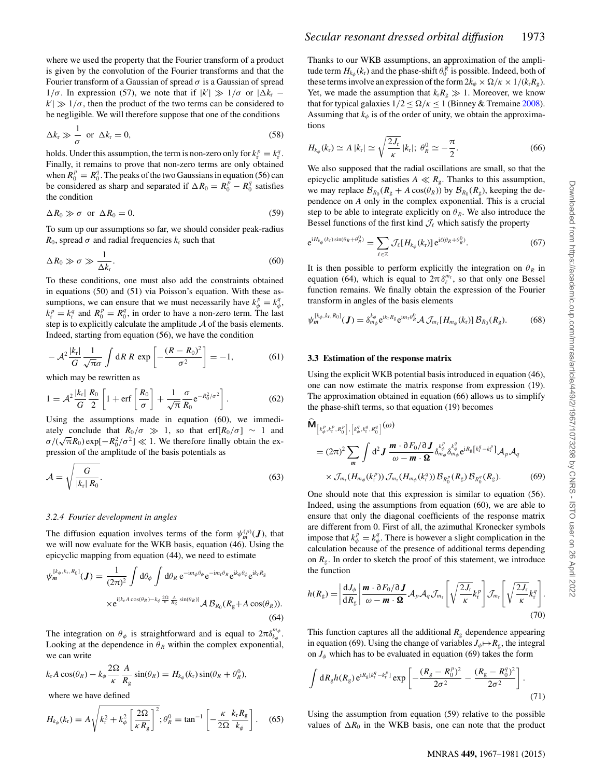where we used the property that the Fourier transform of a product is given by the convolution of the Fourier transforms and that the Fourier transform of a Gaussian of spread  $\sigma$  is a Gaussian of spread  $1/\sigma$ . In expression (57), we note that if  $|k'| \gg 1/\sigma$  or  $|\Delta k_r - k'| \gg 1/\sigma$  then the product of the two terms can be considered to  $k'$   $\gg$   $1/\sigma$ , then the product of the two terms can be considered to be negligible. We will therefore suppose that one of the conditions be negligible. We will therefore suppose that one of the conditions

$$
\Delta k_{\rm r} \gg \frac{1}{\sigma} \text{ or } \Delta k_{\rm r} = 0,
$$
\n(58)

\nholds. Under this assumption, the term is non-zero only for  $k^p - k^q$ .

holds. Under this assumption, the term is non-zero only for  $k_t^p = k_t^q$ .<br>Finally it remains to prove that non-zero terms are only obtained Finally, it remains to prove that non-zero terms are only obtained when  $R_0^p = R_0^q$ . The peaks of the two Gaussians in equation (56) can<br>be considered as sharp and separated if  $AR_0 = R^p - R^q$  satisfies be considered as sharp and separated if  $\Delta R_0 = R_0^p - R_0^q$  satisfies the condition the condition

$$
\Delta R_0 \gg \sigma \text{ or } \Delta R_0 = 0. \tag{59}
$$

To sum up our assumptions so far, we should consider peak-radius *R*<sub>0</sub>, spread  $\sigma$  and radial frequencies  $k_r$  such that

$$
\Delta R_0 \gg \sigma \gg \frac{1}{\Delta k_\text{r}}.\tag{60}
$$

 $\Delta k_r$ <br>To these conditions, one must also add the constraints obtained in equations (50) and (51) via Poisson's equation. With these assumptions, we can ensure that we must necessarily have  $k_p^p = k_q^q$ ,<br> $k^p - k^q$  and  $R^p - R^q$  in order to have a non-zero term. The last  $\kappa_t^2 = \kappa_t^2$  and  $\kappa_0 = \kappa_0$ , in order to have a non-zero term. The last<br>step is to explicitly calculate the amplitude A of the basis elements.  $r_r^p = k_r^q$  and  $R_0^p = R_0^q$ , in order to have a non-zero term. The last<br>ten is to explicitly calculate the amplitude A of the basis elements Indeed, starting from equation (56), we have the condition

$$
-\mathcal{A}^2 \frac{|k_r|}{G} \frac{1}{\sqrt{\pi}\sigma} \int dR \, R \, \exp\left[-\frac{(R-R_0)^2}{\sigma^2}\right] = -1,\tag{61}
$$

which may be rewritten as

$$
1 = \mathcal{A}^2 \frac{|k_r|}{G} \frac{R_0}{2} \left[ 1 + \text{erf}\left[\frac{R_0}{\sigma}\right] + \frac{1}{\sqrt{\pi}} \frac{\sigma}{R_0} e^{-R_0^2/\sigma^2} \right].
$$
 (62)

Using the assumptions made in equation (60), we immediately conclude that  $R_0/\sigma \gg 1$ , so that erf[ $R_0/\sigma$ ] ~ 1 and *σ/*( $\sqrt{\pi}R_0$ ) exp[ $-R_0^2/\sigma^2$ ]  $\ll$  1. We therefore finally obtain the ex-<br>pression of the amplitude of the basis potentials as pression of the amplitude of the basis potentials as

$$
\mathcal{A} = \sqrt{\frac{G}{|k_{\rm r}| R_0}}.\tag{63}
$$

#### *3.2.4 Fourier development in angles*

The diffusion equation involves terms of the form  $\psi_m^{(p)}(J)$ , that we will now evaluate for the WKB basis, equation (46). Using the epicyclic mapping from equation (44), we need to estimate

$$
\psi_m^{[k_\phi, k_\text{r}, R_0]}(J) = \frac{1}{(2\pi)^2} \int d\theta_\phi \int d\theta_R \, e^{-\mathrm{i}m_\phi \theta_\phi} e^{-\mathrm{i}m_\text{r}\theta_R} e^{\mathrm{i}k_\phi \theta_\phi} e^{\mathrm{i}k_\text{r}R_\text{g}}
$$

$$
\times e^{\mathrm{i}[k_\text{r}A\cos(\theta_R) - k_\phi \frac{2Q}{K} \frac{A}{R_\text{g}}\sin(\theta_R)]} \mathcal{A} \mathcal{B}_{R_0}(R_\text{g} + A\cos(\theta_R)). \tag{64}
$$

The integration on  $\theta_{\phi}$  is straightforward and is equal to  $2\pi\delta_{k_{\phi}}^{m_{\phi}}$ .<br>Looking at the dependence in  $\theta_{\phi}$  within the complex exponential Looking at the dependence in  $\theta_R$  within the complex exponential, we can write

$$
k_{r}A\cos(\theta_{R})-k_{\phi}\frac{2\Omega}{\kappa}\frac{A}{R_{g}}\sin(\theta_{R})=H_{k_{\phi}}(k_{r})\sin(\theta_{R}+\theta_{R}^{0}),
$$

where we have defined

$$
H_{k_{\phi}}(k_{\rm r}) = A \sqrt{k_{\rm r}^2 + k_{\phi}^2 \left[\frac{2\Omega}{\kappa R_{\rm g}}\right]^2}; \theta_R^0 = \tan^{-1}\left[-\frac{\kappa}{2\Omega} \frac{k_{\rm r} R_{\rm g}}{k_{\phi}}\right].
$$
 (65)

Thanks to our WKB assumptions, an approximation of the amplitude term  $H_{k_{\phi}}(k_{\rm r})$  and the phase-shift  $\theta_0^R$  is possible. Indeed, both of these terms involve an expression of the form  $2k_{\rm r} \times Q/\kappa \times 1/(k_{\rm r}R)$ these terms involve an expression of the form  $2k_{\phi} \times \Omega/\kappa \times 1/(k_{\rm r}R_{\rm g})$ . Yet, we made the assumption that  $k_r R_g \gg 1$ . Moreover, we know that for typical galaxies  $1/2 \leq \Omega/\kappa \leq 1$  (Binney & Tremaine 2008). Assuming that  $k_{\phi}$  is of the order of unity, we obtain the approximations

$$
H_{k_{\phi}}(k_{\rm r}) \simeq A |k_{\rm r}| \simeq \sqrt{\frac{2J_{\rm r}}{\kappa}} |k_{\rm r}|; \ \theta_R^0 \simeq -\frac{\pi}{2}.
$$
 (66)  
We also supposed that the radial oscillations are small, so that the

epicyclic amplitude satisfies  $A \ll R_{\rm g}$ . Thanks to this assumption, we may replace  $\mathcal{B}_{R_0}(R_g + A \cos(\theta_R))$  by  $\mathcal{B}_{R_0}(R_g)$ , keeping the dependence on *A* only in the complex exponential. This is a crucial step to be able to integrate explicitly on  $\theta_R$ . We also introduce the Bessel functions of the first kind  $\mathcal{J}_{\ell}$  which satisfy the property

$$
e^{iH_{k_{\phi}}(k_r)\sin(\theta_R+\theta_R^0)} = \sum_{\ell \in \mathbb{Z}} \mathcal{J}_{\ell}[H_{k_{\phi}}(k_r)] e^{i\ell(\theta_R+\theta_R^0)}.
$$
 (67)

It is then possible to perform explicitly the integration on  $\theta_R$  in equation (64), which is equal to  $2\pi \delta_{\ell}^{m_r}$ , so that only one Bessel<br>function remains We finally obtain the expression of the Fourier function remains. We finally obtain the expression of the Fourier transform in angles of the basis elements

$$
\psi_m^{[k_\phi, k_\tau, R_0]}(\boldsymbol{J}) = \delta_{m_\phi}^{k_\phi} e^{ik_\tau R_g} e^{im_\tau \theta_R^0} \mathcal{A} \mathcal{J}_{m_\tau} [H_{m_\phi}(k_\tau)] \mathcal{B}_{R_0}(R_g). \tag{68}
$$

#### **3.3 Estimation of the response matrix**

Using the explicit WKB potential basis introduced in equation (46), one can now estimate the matrix response from expression (19). The approximation obtained in equation (66) allows us to simplify the phase-shift terms, so that equation (19) becomes

$$
\hat{\mathbf{M}}_{\left[k_{\phi}^{p},k_{\tau}^{p},R_{0}^{p}\right],\left[k_{\phi}^{q},k_{\tau}^{q},R_{0}^{q}\right]}(\omega)
$$
\n
$$
= (2\pi)^{2} \sum_{m} \int d^{2} J \, \frac{\boldsymbol{m} \cdot \partial F_{0} / \partial J}{\omega - \boldsymbol{m} \cdot \boldsymbol{\Omega}} \delta_{m_{\phi}}^{k_{\phi}^{p}} \delta_{m_{\phi}}^{k_{\phi}^{q}} e^{iR_{g}\left[k_{\tau}^{q} - k_{\tau}^{p}\right]} \mathcal{A}_{p} \mathcal{A}_{q}
$$
\n
$$
\times \mathcal{J}_{m_{\tau}}(H_{m_{\phi}}(k_{\tau}^{p})) \mathcal{J}_{m_{\tau}}(H_{m_{\phi}}(k_{\tau}^{q})) \mathcal{B}_{R_{0}^{p}}(R_{g}) \mathcal{B}_{R_{0}^{q}}(R_{g}). \tag{69}
$$

One should note that this expression is similar to equation (56). Indeed, using the assumptions from equation (60), we are able to ensure that only the diagonal coefficients of the response matrix are different from 0. First of all, the azimuthal Kronecker symbols impose that  $k_{\phi}^{p} = k_{\phi}^{q}$ . There is however a slight complication in the calculation because of the presence of additional terms depending calculation because of the presence of additional terms depending on  $R_g$ . In order to sketch the proof of this statement, we introduce the function

$$
h(R_{g}) = \left| \frac{\mathrm{d}J_{\phi}}{\mathrm{d}R_{g}} \right| \frac{\boldsymbol{m} \cdot \partial F_{0} / \partial \boldsymbol{J}}{\omega - \boldsymbol{m} \cdot \boldsymbol{\Omega}} \mathcal{A}_{p} \mathcal{A}_{q} \mathcal{J}_{m_{r}} \left[ \sqrt{\frac{2J_{r}}{\kappa}} k_{r}^{p} \right] \mathcal{J}_{m_{r}} \left[ \sqrt{\frac{2J_{r}}{\kappa}} k_{r}^{q} \right].
$$
\n(70)

This function captures all the additional  $R_{\rm g}$  dependence appearing in equation (69). Using the change of variables  $J_{\phi} \mapsto R_{g}$ , the integral on  $J_{\phi}$  which has to be evaluated in equation (69) takes the form

$$
\int dR_{g}h(R_{g}) e^{iR_{g}[k_{t}^{g}-k_{t}^{p}]}\exp\left[-\frac{(R_{g}-R_{0}^{p})^{2}}{2\sigma^{2}}-\frac{(R_{g}-R_{0}^{q})^{2}}{2\sigma^{2}}\right].
$$
\n(71)

Using the assumption from equation (59) relative to the possible values of  $\Delta R_0$  in the WKB basis, one can note that the product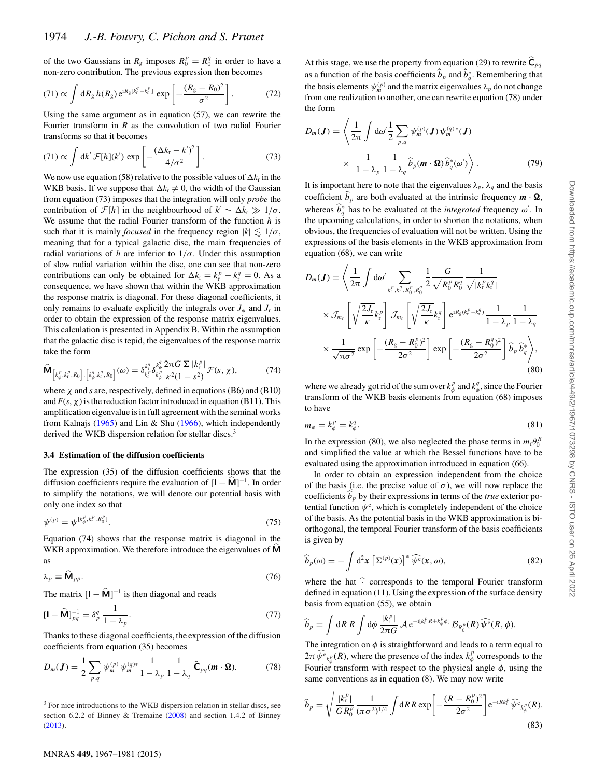of the two Gaussians in  $R_g$  imposes  $R_0^p = R_0^q$  in order to have a<br>non-zero contribution. The previous expression then becomes non-zero contribution. The previous expression then becomes

$$
(71) \propto \int dR_g \, h(R_g) \, e^{iR_g[k_f^q - k_f^p]} \, \exp\left[ -\frac{(R_g - R_0)^2}{\sigma^2} \right]. \tag{72}
$$
  
Using the same argument as in equation (57), we can rewrite the

Fourier transform in *R* as the convolution of two radial Fourier transforms so that it becomes

$$
(71) \propto \int \mathrm{d}k' \, \mathcal{F}[h](k') \, \exp\left[-\frac{(\Delta k_{\rm r} - k')^2}{4/\sigma^2}\right]. \tag{73}
$$

We now use equation (58) relative to the possible values of  $\Delta k_{\rm r}$  in the WKB basis. If we suppose that  $\Delta k_r \neq 0$ , the width of the Gaussian from equation (73) imposes that the integration will only *probe* the contribution of  $\mathcal{F}[h]$  in the neighbourhood of  $k' \sim \Delta k_r \gg 1/\sigma$ . We assume that the radial Fourier transform of the function *h* is such that it is mainly *focused* in the frequency region  $|k| \leq 1/\sigma$ ,<br>meaning that for a typical galactic disc, the main frequencies of meaning that for a typical galactic disc, the main frequencies of radial variations of *h* are inferior to  $1/\sigma$ . Under this assumption of slow radial variation within the disc, one can see that non-zero contributions can only be obtained for  $\Delta k_r = k_r^p - k_q^q = 0$ . As a consequence we have shown that within the WKB approximation consequence, we have shown that within the WKB approximation the response matrix is diagonal. For these diagonal coefficients, it only remains to evaluate explicitly the integrals over  $J_{\phi}$  and  $J_{r}$  in order to obtain the expression of the response matrix eigenvalues. This calculation is presented in Appendix B. Within the assumption that the galactic disc is tepid, the eigenvalues of the response matrix take the form

$$
\widehat{\mathbf{M}}_{\left[k_{\phi}^{p},k_{r}^{p},R_{0}\right],\left[k_{\phi}^{q},k_{r}^{q},R_{0}\right]}(\omega)=\delta_{k_{r}^{p}}^{k_{r}^{q}}\delta_{k_{\phi}^{p}}^{k_{\phi}^{q}}\frac{2\pi G\,\Sigma\,\left|k_{r}^{p}\right|}{\kappa^{2}(1-s^{2})}\mathcal{F}(s,\,\chi),\tag{74}
$$

where  $\chi$  and *s* are, respectively, defined in equations (B6) and (B10) and  $F(s, \chi)$  is the reduction factor introduced in equation (B11). This and  $F(s, \chi)$  is the reduction factor introduced in equation (B11). This amplification eigenvalue is in full agreement with the seminal works from Kalnajs (1965) and Lin & Shu (1966), which independently derived the WKB dispersion relation for stellar discs.<sup>3</sup>

#### **3.4 Estimation of the diffusion coefficients**

The expression (35) of the diffusion coefficients shows that the diffusion coefficients require the evaluation of  $[\mathbf{I} - \hat{\mathbf{M}}]^{-1}$ . In order to simplify the notations, we will denote our potential basis with only one index so that

$$
\psi^{(p)} = \psi^{[k_{\phi}^{p}, k_{\rm f}^{p}, R_0^{p}]}.
$$
\n(75)

Equation (74) shows that the response matrix is diagonal in the WKB approximation. We therefore introduce the eigenvalues of **M** as

$$
\lambda_p \equiv \widehat{\mathbf{M}}_{pp}.\tag{76}
$$

The matrix  $[\mathbf{I} - \hat{\mathbf{M}}]^{-1}$  is then diagonal and reads

$$
\left[\mathbf{I} - \widehat{\mathbf{M}}\right]_{pq}^{-1} = \delta_p^q \frac{1}{1 - \lambda_p}.\tag{77}
$$

Thanks to these diagonal coefficients, the expression of the diffusion coefficients from equation (35) becomes

$$
D_m(\boldsymbol{J}) = \frac{1}{2} \sum_{p,q} \psi_m^{(p)} \psi_m^{(q)*} \frac{1}{1 - \lambda_p} \frac{1}{1 - \lambda_q} \,\widehat{\mathbf{C}}_{pq}(\boldsymbol{m} \cdot \boldsymbol{\Omega}).\tag{78}
$$

<sup>3</sup> For nice introductions to the WKB dispersion relation in stellar discs, see section 6.2.2 of Binney & Tremaine (2008) and section 1.4.2 of Binney (2013).

At this stage, we use the property from equation (29) to rewrite  $\mathbf{C}_{pq}$ as a function of the basis coefficients  $b_p$  and  $b_q^*$ . Remembering that the basis elements  $y_p^{(p)}$  and the matrix ejeconvalues *i*, do not change the basis elements  $\psi_m^{(p)}$  and the matrix eigenvalues  $\lambda_p$  do not change from one realization to another, one can rewrite equation (78) under the form

$$
D_m(\boldsymbol{J}) = \left\langle \frac{1}{2\pi} \int d\omega' \frac{1}{2} \sum_{p,q} \psi_m^{(p)}(\boldsymbol{J}) \psi_m^{(q)*}(\boldsymbol{J}) \times \frac{1}{1 - \lambda_p} \frac{1}{1 - \lambda_q} \widehat{b}_p(\boldsymbol{m} \cdot \boldsymbol{\Omega}) \widehat{b}_q^*(\omega') \right\rangle.
$$
 (79)

It is important here to note that the eigenvalues  $\lambda_p$ ,  $\lambda_q$  and the basis coefficient  $b_p$  are both evaluated at the intrinsic frequency  $\mathbf{m} \cdot \mathbf{\Omega}$ , whereas  $\hat{b}_{q}^{*}$  has to be evaluated at the *integrated* frequency  $\omega'$ . In the upcoming calculations in order to shorten the notations when the upcoming calculations, in order to shorten the notations, when obvious, the frequencies of evaluation will not be written. Using the expressions of the basis elements in the WKB approximation from equation (68), we can write

$$
D_m(\boldsymbol{J}) = \left\langle \frac{1}{2\pi} \int \mathrm{d}\omega' \sum_{k_i^P, k_i^q, R_0^R, R_0^q} \frac{1}{2} \frac{G}{\sqrt{R_0^P R_0^q}} \frac{1}{\sqrt{|k_i^P k_i^q|}} \right\rangle
$$
  
 
$$
\times \mathcal{J}_{m_r} \left[ \sqrt{\frac{2J_r}{\kappa}} k_r^P \right] \mathcal{J}_{m_r} \left[ \sqrt{\frac{2J_r}{\kappa}} k_r^q \right] e^{iR_g(k_r^P - k_r^q)} \frac{1}{1 - \lambda_p} \frac{1}{1 - \lambda_q}
$$
  
 
$$
\times \frac{1}{\sqrt{\pi \sigma^2}} \exp \left[ -\frac{(R_g - R_0^P)^2}{2\sigma^2} \right] \exp \left[ -\frac{(R_g - R_0^q)^2}{2\sigma^2} \right] \hat{b}_p \hat{b}_q^* \right\rangle, \tag{80}
$$

where we already got rid of the sum over  $k_{\phi}^{p}$  and  $k_{\phi}^{q}$ , since the Fourier<br>transform of the WKB basis elements from equation (68) imposes transform of the WKB basis elements from equation (68) imposes to have

$$
m_{\phi} = k_{\phi}^p = k_{\phi}^q. \tag{81}
$$

In the expression (80), we also neglected the phase terms in  $m_r \theta_0^R$ <br>and simplified the value at which the Bessel functions have to be and simplified the value at which the Bessel functions have to be evaluated using the approximation introduced in equation (66).

In order to obtain an expression independent from the choice of the basis (i.e. the precise value of  $\sigma$ ), we will now replace the coefficients  $b_p$  by their expressions in terms of the *true* exterior potential function  $\psi^e$ , which is completely independent of the choice<br>of the basis. As the potential basis in the WKB approximation is biof the basis. As the potential basis in the WKB approximation is biorthogonal, the temporal Fourier transform of the basis coefficients is given by

$$
\widehat{b}_p(\omega) = -\int d^2x \left[\Sigma^{(p)}(x)\right]^* \widehat{\psi^e}(x,\omega),\tag{82}
$$

where the hat  $\hat{ }$  corresponds to the temporal Fourier transform defined in equation (11). Using the expression of the surface density basis from equation (55), we obtain

$$
\widehat{b}_p = \int dR \, R \int d\phi \, \frac{|k_i^p|}{2\pi G} \, A \, e^{-i[k_i^p R + k_\phi^p \phi]} \, \mathcal{B}_{R_0^p}(R) \, \widehat{\psi^e}(R,\phi).
$$

The integration on  $\phi$  is straightforward and leads to a term equal to  $2\pi \psi_{\epsilon_{k_\rho^p}}(R)$ , where the presence of the index  $k_\phi^p$  corresponds to the Fourier transform with respect to the physical angle  $\phi$ , using the same conventions as in equation (8). We may now write same conventions as in equation (8). We may now write

$$
\widehat{b}_p = \sqrt{\frac{|k_r^p|}{GR_0^p}} \frac{1}{(\pi \sigma^2)^{1/4}} \int dR R \exp\left[-\frac{(R - R_0^p)^2}{2\sigma^2}\right] e^{-iRk_r^p} \widehat{\psi^e}_{k_\phi^p}(R).
$$
\n(83)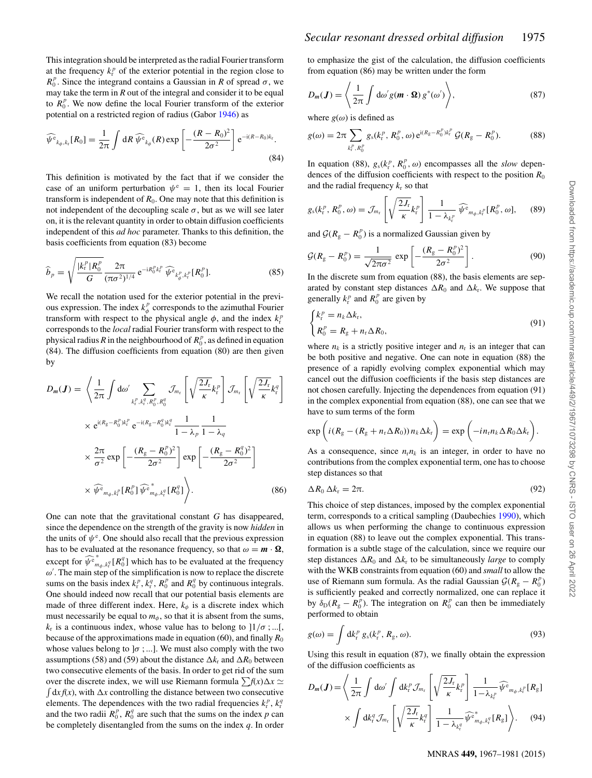This integration should be interpreted as the radial Fourier transform at the frequency  $k_f^p$  of the exterior potential in the region close to  $R_f^p$ . Since the integrand contains a Gaussian in R of spread  $\sigma$ , we *R*<sup>*p*</sup>. Since the integrand contains a Gaussian in *R* of spread  $\sigma$ , we may take the term in *R* out of the integral and consider it to be equal may take the term in *R* out of the integral and consider it to be equal to  $R_0^p$ . We now define the local Fourier transform of the exterior<br>potential on a restricted region of radius (Gabor 1946) as potential on a restricted region of radius (Gabor 1946) as

$$
\widehat{\psi^{\,\mathrm{e}}}_{k_{\phi},k_{\mathrm{r}}}[R_{0}] = \frac{1}{2\pi} \int \mathrm{d}R \,\widehat{\psi^{\,\mathrm{e}}}_{k_{\phi}}(R) \exp\left[-\frac{(R-R_{0})^{2}}{2\sigma^{2}}\right] \mathrm{e}^{-\mathrm{i}(R-R_{0})k_{\mathrm{r}}}.\tag{84}
$$

This definition is motivated by the fact that if we consider the case of an uniform perturbation  $\psi^e = 1$ , then its local Fourier transform is independent of  $R_0$ . One may note that this definition is not independent of the decoupling scale  $\sigma$ , but as we will see later on, it is the relevant quantity in order to obtain diffusion coefficients independent of this *ad hoc* parameter. Thanks to this definition, the basis coefficients from equation (83) become

$$
\widehat{b}_p = \sqrt{\frac{|k_r^p| R_0^p}{G} \frac{2\pi}{(\pi \sigma^2)^{1/4}} e^{-iR_0^p k_r^p} \widehat{\psi}^e_{k_\phi^p, k_r^p} [R_0^p].}
$$
\n(85)

We recall the notation used for the exterior potential in the previous expression. The index  $k_{\phi}^{p}$  corresponds to the azimuthal Fourier<br>transform with respect to the physical angle  $\phi$  and the index  $k^{p}$ transform with respect to the physical angle  $\phi$ , and the index  $k_f^p$ <br>corresponds to the *local* radial Fourier transform with respect to the corresponds to the *local* radial Fourier transform with respect to the physical radius *R* in the neighbourhood of  $R_0^p$ , as defined in equation (84). The diffusion coefficients from equation (80) are then given (84). The diffusion coefficients from equation (80) are then given by

$$
D_m(\boldsymbol{J}) = \left\langle \frac{1}{2\pi} \int d\omega' \sum_{k_i^P, k_i^q, R_0^P, R_0^q} \mathcal{J}_{m_r} \left[ \sqrt{\frac{2J_r}{\kappa}} k_i^P \right] \mathcal{J}_{m_r} \left[ \sqrt{\frac{2J_r}{\kappa}} k_i^q \right] \right\rangle
$$
  
 
$$
\times e^{i(R_g - R_0^P)k_r^P} e^{-i(R_g - R_0^q)k_i^q} \frac{1}{1 - \lambda_p} \frac{1}{1 - \lambda_q}
$$
  
 
$$
\times \frac{2\pi}{\sigma^2} \exp \left[ -\frac{(R_g - R_0^P)^2}{2\sigma^2} \right] \exp \left[ -\frac{(R_g - R_0^q)^2}{2\sigma^2} \right]
$$
  
 
$$
\times \widehat{\psi}^e_{m_\phi, k_r^P} [R_0^P] \widehat{\psi}^e_{m_\phi, k_i^q} [R_0^q] \right\rangle. \tag{86}
$$

One can note that the gravitational constant *G* has disappeared, since the dependence on the strength of the gravity is now *hidden* in the units of  $\psi^e$ . One should also recall that the previous expression<br>has to be evaluated at the resonance frequency so that  $\omega = m \cdot \Omega$ has to be evaluated at the resonance frequency, so that  $\omega = m \cdot \Omega$ , except for  $\widehat{\psi}_{m_\phi, k_\tau^q}[R_0^q]$  which has to be evaluated at the frequency  $\omega'$ . The main step of the simplification is now to replace the discrete *ω*. The main step of the simplification is now to replace the discrete<br>*ω*/. The main step of the simplification is now to replace the discrete<br>sums on the basis index *kP kg* **R<sup>P</sup>** and **R**<sup>q</sup> by continuous integrals sums on the basis index  $k_f^p$ ,  $k_f^q$ ,  $R_0^p$  and  $R_0^q$  by continuous integrals.<br>One should indeed now recall that our potential basis elements are One should indeed now recall that our potential basis elements are made of three different index. Here,  $k_{\phi}$  is a discrete index which must necessarily be equal to  $m_{\phi}$ , so that it is absent from the sums,  $k_r$  is a continuous index, whose value has to belong to  $]1/\sigma$ ;...[, because of the approximations made in equation (60), and finally  $R_0$ whose values belong to  $\sigma$ ; ...]. We must also comply with the two assumptions (58) and (59) about the distance  $\Delta k_r$  and  $\Delta R_0$  between two consecutive elements of the basis. In order to get rid of the sum over the discrete index, we will use Riemann formula  $\sum f(x) \Delta x \simeq$  $\int dx f(x)$ , with  $\Delta x$  controlling the distance between two consecutive elements. The dependences with the two radial frequencies  $k_f^p$ ,  $k_f^q$ <br>and the two radii  $R^p - R^q$  are such that the sums on the index n can and the two radii  $R_0^p$ ,  $R_0^q$  are such that the sums on the index *p* can<br>be completely disentangled from the sums on the index *q*. In order be completely disentangled from the sums on the index *q*. In order to emphasize the gist of the calculation, the diffusion coefficients from equation (86) may be written under the form

$$
D_m(\boldsymbol{J}) = \left\langle \frac{1}{2\pi} \int d\omega' g(\boldsymbol{m} \cdot \boldsymbol{\Omega}) g^*(\omega') \right\rangle, \tag{87}
$$

where  $g(\omega)$  is defined as

$$
g(\omega) = 2\pi \sum_{k_i^p, R_0^p} g_s(k_i^p, R_0^p, \omega) e^{i(R_g - R_0^p)k_i^p} \mathcal{G}(R_g - R_0^p).
$$
 (88)

In equation (88),  $g_s(k_f^p, R_0^p, \omega)$  encompasses all the *slow* depen-<br>dences of the diffusion coefficients with respect to the position  $R_0$ in equation (88),  $g_s(k_f^{\mu}, K_0^{\mu}, \omega)$  encompasses all the *slow* dependences of the diffusion coefficients with respect to the position  $R_0$ and the radial frequency  $k_r$  so that

$$
g_{s}(k_{r}^{p}, R_{0}^{p}, \omega) = \mathcal{J}_{m_{r}}\left[\sqrt{\frac{2J_{r}}{\kappa}}k_{r}^{p}\right] \frac{1}{1 - \lambda_{k_{r}^{p}}}\widehat{\psi}_{m_{\phi}, k_{r}^{p}}[R_{0}^{p}, \omega], \quad (89)
$$

and  $\mathcal{G}(R_{\rm g} - R_0^p)$  is a normalized Gaussian given by

$$
\mathcal{G}(R_{\rm g} - R_{0}^{p}) = \frac{1}{\sqrt{2\pi\sigma^{2}}} \exp\left[-\frac{(R_{\rm g} - R_{0}^{p})^{2}}{2\sigma^{2}}\right].
$$
\nIn the discrete sum from equation (88), the basis elements are sep-

arated by constant step distances  $\Delta R_0$  and  $\Delta k_{\rm r}$ . We suppose that generally  $k_{\rm r}^p$  and  $R_0^p$  are given by

$$
\begin{cases}\nk_r^p = n_k \Delta k_r, \\
R_0^p = R_g + n_r \Delta R_0,\n\end{cases}
$$
\n(91)

where  $n_k$  is a strictly positive integer and  $n_r$  is an integer that can be both positive and negative. One can note in equation (88) the presence of a rapidly evolving complex exponential which may cancel out the diffusion coefficients if the basis step distances are not chosen carefully. Injecting the dependences from equation (91) in the complex exponential from equation (88), one can see that we have to sum terms of the form

$$
\exp\bigg(i(R_g - (R_g + n_r \Delta R_0))n_k \Delta k_r\bigg) = \exp\bigg(-i n_r n_k \Delta R_0 \Delta k_r\bigg).
$$

As a consequence, since  $n_r n_k$  is an integer, in order to have no contributions from the complex exponential term, one has to choose step distances so that

$$
\Delta R_0 \,\Delta k_\text{r} = 2\pi. \tag{92}
$$

This choice of step distances, imposed by the complex exponential term, corresponds to a critical sampling (Daubechies 1990), which allows us when performing the change to continuous expression in equation (88) to leave out the complex exponential. This transformation is a subtle stage of the calculation, since we require our step distances  $\Delta R_0$  and  $\Delta k_r$  to be simultaneously *large* to comply with the WKB constraints from equation (60) and *small* to allow the use of Riemann sum formula. As the radial Gaussian  $\mathcal{G}(R_g - R_0^p)$ <br>is sufficiently neaked and correctly normalized, one can replace it is sufficiently peaked and correctly normalized, one can replace it by  $\delta_D(R_g - R_0^p)$ . The integration on  $R_0^p$  can then be immediately performed to obtain performed to obtain

$$
g(\omega) = \int \mathrm{d}k_{\mathrm{r}}^p \, g_{\mathrm{s}}(k_{\mathrm{r}}^p, R_{\mathrm{g}}, \omega). \tag{93}
$$

Using this result in equation (87), we finally obtain the expression of the diffusion coefficients as

$$
D_m(\boldsymbol{J}) = \left\langle \frac{1}{2\pi} \int d\omega' \int d\boldsymbol{k}_{\mathrm{r}}^p \mathcal{J}_{m_{\mathrm{r}}} \left[ \sqrt{\frac{2J_{\mathrm{r}}}{\kappa}} \boldsymbol{k}_{\mathrm{r}}^p \right] \frac{1}{1 - \lambda_{k_{\mathrm{r}}^p}} \widehat{\psi^{\mathrm{e}}}_{m_{\phi}, k_{\mathrm{r}}^p} [\boldsymbol{R}_{\mathrm{g}}] \right. \\ \times \int d\boldsymbol{k}_{\mathrm{r}}^q \mathcal{J}_{m_{\mathrm{r}}} \left[ \sqrt{\frac{2J_{\mathrm{r}}}{\kappa}} \boldsymbol{k}_{\mathrm{r}}^q \right] \frac{1}{1 - \lambda_{k_{\mathrm{r}}^q}} \widehat{\psi^{\mathrm{e}}}_{m_{\phi}, k_{\mathrm{r}}^q} [\boldsymbol{R}_{\mathrm{g}}] \right\rangle. \tag{94}
$$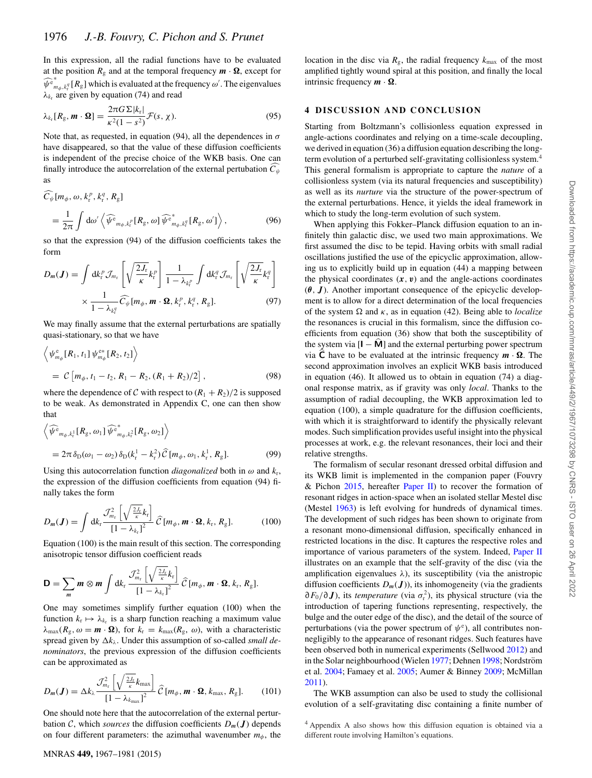In this expression, all the radial functions have to be evaluated at the position  $R_g$  and at the temporal frequency  $\mathbf{m} \cdot \mathbf{\Omega}$ , except for  $\lambda_{k_r}$  are given by equation (74) and read  $\widehat{\psi}_{m_\phi, k_\phi^{\phi}}^{\mathfrak{e}_*}[R_{\mathfrak{g}}]$  which is evaluated at the frequency  $\omega'$ . The eigenvalues

$$
\lambda_{k_r}[R_g, m \cdot \Omega] = \frac{2\pi G \Sigma |k_r|}{\kappa^2 (1 - s^2)} \mathcal{F}(s, \chi).
$$
\n(95)

Note that, as requested, in equation (94), all the dependences in *σ*<br>have disanneared, so that the value of these diffusion coefficients have disappeared, so that the value of these diffusion coefficients is independent of the precise choice of the WKB basis. One can finally introduce the autocorrelation of the external pertubation *C ψ* as

$$
\overline{C}_{\psi}[m_{\phi}, \omega, k_{\rm r}^p, k_{\rm r}^q, R_{\rm g}]
$$
\n
$$
= \frac{1}{2\pi} \int d\omega' \left\langle \widehat{\psi^{\rm e}}_{m_{\phi}, k_{\rm r}^p}[R_{\rm g}, \omega] \widehat{\psi^{\rm e}}_{m_{\phi}, k_{\rm r}^q}[R_{\rm g}, \omega'] \right\rangle, \tag{96}
$$

so that the expression (94) of the diffusion coefficients takes the form

$$
D_m(\boldsymbol{J}) = \int \mathrm{d}k_r^p \mathcal{J}_{m_r} \left[ \sqrt{\frac{2J_r}{\kappa}} k_r^p \right] \frac{1}{1 - \lambda_{k_r^p}} \int \mathrm{d}k_r^q \mathcal{J}_{m_r} \left[ \sqrt{\frac{2J_r}{\kappa}} k_r^q \right] \times \frac{1}{1 - \lambda_{k_r^q}} \widehat{C}_{\Psi}[m_{\phi}, \boldsymbol{m} \cdot \boldsymbol{\Omega}, k_r^p, k_r^q, R_g]. \tag{97}
$$

We may finally assume that the external perturbations are spatially quasi-stationary, so that we have

$$
\left\langle \psi_{m_{\phi}}^{\text{e}}[R_1, t_1] \psi_{m_{\phi}}^{\text{e*}}[R_2, t_2] \right\rangle
$$
  
=  $\mathcal{C} [m_{\phi}, t_1 - t_2, R_1 - R_2, (R_1 + R_2)/2],$  (98)

where the dependence of C with respect to  $(R_1 + R_2)/2$  is supposed to be weak. As demonstrated in Appendix C, one can then show that

$$
\left\langle \widehat{\psi^e}_{m_{\phi},k_r^1}[R_g, \omega_1] \widehat{\psi^e}_{m_{\phi},k_r^2}[R_g, \omega_2] \right\rangle
$$
  
=  $2\pi \delta_D(\omega_1 - \omega_2) \delta_D(k_r^1 - k_r^2) \widehat{C}[m_{\phi}, \omega_1, k_r^1, R_g].$  (99)

Using this autocorrelation function *diagonalized* both in  $\omega$  and  $k_r$ , the expression of the diffusion coefficients from equation (94) finally takes the form

$$
D_m(\boldsymbol{J}) = \int \mathrm{d}k_{\mathrm{r}} \frac{\mathcal{J}_{m_{\mathrm{r}}}^2 \left[ \sqrt{\frac{2J_{\mathrm{r}}}{\kappa}} k_{\mathrm{r}} \right]}{\left[ 1 - \lambda_{k_{\mathrm{r}}} \right]^2} \, \widehat{\mathcal{C}}\left[ m_{\phi}, m \cdot \boldsymbol{\Omega}, k_{\mathrm{r}}, R_{\mathrm{g}} \right]. \tag{100}
$$

Equation (100) is the main result of this section. The corresponding anisotropic tensor diffusion coefficient reads

$$
\mathbf{D}=\sum_{m}\mathbf{m}\otimes\mathbf{m}\int \mathrm{d}k_{\mathrm{r}}\,\frac{\mathcal{J}_{m_{\mathrm{r}}}^{2}\left[\sqrt{\frac{2J_{\mathrm{r}}}{\kappa}}k_{\mathrm{r}}\right]}{\left[1-\lambda_{k_{\mathrm{r}}}\right]^{2}}\,\widehat{\mathcal{C}}\left[m_{\phi},\mathbf{m}\cdot\mathbf{\Omega},k_{\mathrm{r}},R_{\mathrm{g}}\right].
$$

One may sometimes simplify further equation (100) when the function  $k_r \mapsto \lambda_{k_r}$  is a sharp function reaching a maximum value  $\lambda_{\text{max}}(R_{\text{g}}, \omega = \mathbf{m} \cdot \mathbf{\Omega})$ , for  $k_{\text{r}} = k_{\text{max}}(R_{\text{g}}, \omega)$ , with a characteristic spread given by  $\Delta k_{\lambda}$ . Under this assumption of so-called *small denominators*, the previous expression of the diffusion coefficients can be approximated as

$$
D_m(\boldsymbol{J}) = \Delta k_{\lambda} \frac{\mathcal{J}_{m_r}^2 \left[ \sqrt{\frac{2J_r}{\kappa}} k_{\text{max}} \right]}{\left[ 1 - \lambda_{k_{\text{max}}} \right]^2} \widehat{C} \left[ m_{\phi}, \boldsymbol{m} \cdot \boldsymbol{\Omega}, k_{\text{max}}, R_{g} \right]. \tag{101}
$$

One should note here that the autocorrelation of the external perturbation C, which *sources* the diffusion coefficients  $D_m(\boldsymbol{J})$  depends on four different parameters: the azimuthal wavenumber  $m_{\phi}$ , the

location in the disc via  $R_g$ , the radial frequency  $k_{\text{max}}$  of the most amplified tightly wound spiral at this position, and finally the local intrinsic frequency  $m \cdot \Omega$ .

#### **4 DISCUSSION AND CONCLUSION**

Starting from Boltzmann's collisionless equation expressed in angle-actions coordinates and relying on a time-scale decoupling, we derived in equation (36) a diffusion equation describing the longterm evolution of a perturbed self-gravitating collisionless system.4 This general formalism is appropriate to capture the *nature* of a collisionless system (via its natural frequencies and susceptibility) as well as its *nurture* via the structure of the power-spectrum of the external perturbations. Hence, it yields the ideal framework in which to study the long-term evolution of such system.

When applying this Fokker–Planck diffusion equation to an infinitely thin galactic disc, we used two main approximations. We first assumed the disc to be tepid. Having orbits with small radial oscillations justified the use of the epicyclic approximation, allowing us to explicitly build up in equation (44) a mapping between the physical coordinates  $(x, v)$  and the angle-actions coordinates (*θ, <sup>J</sup>*). Another important consequence of the epicyclic development is to allow for a direct determination of the local frequencies of the system  $\Omega$  and  $\kappa$ , as in equation (42). Being able to *localize* the resonances is crucial in this formalism, since the diffusion coefficients from equation (36) show that both the susceptibility of the system via  $[I - \hat{M}]$  and the external perturbing power spectrum via  $\overline{C}$  have to be evaluated at the intrinsic frequency  $m \cdot \Omega$ . The second approximation involves an explicit WKB basis introduced in equation (46). It allowed us to obtain in equation (74) a diagonal response matrix, as if gravity was only *local*. Thanks to the assumption of radial decoupling, the WKB approximation led to equation (100), a simple quadrature for the diffusion coefficients, with which it is straightforward to identify the physically relevant modes. Such simplification provides useful insight into the physical processes at work, e.g. the relevant resonances, their loci and their relative strengths.

The formalism of secular resonant dressed orbital diffusion and its WKB limit is implemented in the companion paper (Fouvry & Pichon 2015, hereafter Paper II) to recover the formation of resonant ridges in action-space when an isolated stellar Mestel disc (Mestel 1963) is left evolving for hundreds of dynamical times. The development of such ridges has been shown to originate from a resonant mono-dimensional diffusion, specifically enhanced in restricted locations in the disc. It captures the respective roles and importance of various parameters of the system. Indeed, Paper II illustrates on an example that the self-gravity of the disc (via the amplification eigenvalues  $\lambda$ ), its susceptibility (via the anistropic diffusion coefficients  $D_m(\boldsymbol{J})$ ), its inhomogeneity (via the gradients  $\partial F_0/\partial J$ ), its *temperature* (via  $\sigma_r^2$ ), its physical structure (via the introduction of tenering functions representing respectively the introduction of tapering functions representing, respectively, the bulge and the outer edge of the disc), and the detail of the source of perturbations (via the power spectrum of  $\psi^e$ ), all contributes non-<br>negligibly to the appearance of resonant ridges. Such features have negligibly to the appearance of resonant ridges. Such features have been observed both in numerical experiments (Sellwood 2012) and in the Solar neighbourhood (Wielen 1977; Dehnen 1998; Nordström et al. 2004; Famaey et al. 2005; Aumer & Binney 2009; McMillan 2011).

The WKB assumption can also be used to study the collisional evolution of a self-gravitating disc containing a finite number of

<sup>4</sup> Appendix A also shows how this diffusion equation is obtained via a different route involving Hamilton's equations.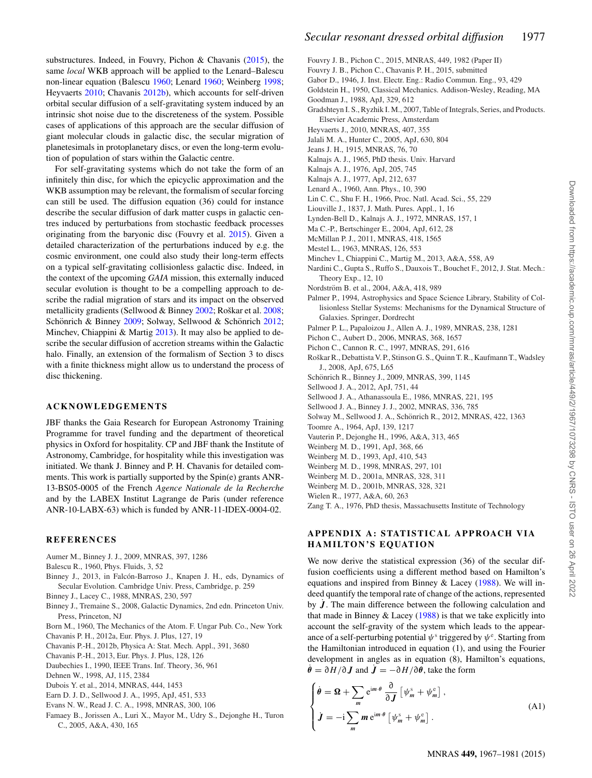substructures. Indeed, in Fouvry, Pichon & Chavanis (2015), the same *local* WKB approach will be applied to the Lenard–Balescu non-linear equation (Balescu 1960; Lenard 1960; Weinberg 1998; Heyvaerts 2010; Chavanis 2012b), which accounts for self-driven orbital secular diffusion of a self-gravitating system induced by an intrinsic shot noise due to the discreteness of the system. Possible cases of applications of this approach are the secular diffusion of giant molecular clouds in galactic disc, the secular migration of planetesimals in protoplanetary discs, or even the long-term evolution of population of stars within the Galactic centre.

For self-gravitating systems which do not take the form of an infinitely thin disc, for which the epicyclic approximation and the WKB assumption may be relevant, the formalism of secular forcing can still be used. The diffusion equation (36) could for instance describe the secular diffusion of dark matter cusps in galactic centres induced by perturbations from stochastic feedback processes originating from the baryonic disc (Fouvry et al. 2015). Given a detailed characterization of the perturbations induced by e.g. the cosmic environment, one could also study their long-term effects on a typical self-gravitating collisionless galactic disc. Indeed, in the context of the upcoming *GAIA* mission, this externally induced secular evolution is thought to be a compelling approach to describe the radial migration of stars and its impact on the observed metallicity gradients (Sellwood  $& \text{Binney } 2002$ ; Roškar et al.  $2008$ ; Schönrich & Binney  $2009$ ; Solway, Sellwood & Schönrich  $2012$ ; Minchev, Chiappini & Martig 2013). It may also be applied to describe the secular diffusion of accretion streams within the Galactic halo. Finally, an extension of the formalism of Section 3 to discs with a finite thickness might allow us to understand the process of disc thickening.

#### **ACKNOWLEDGEMENTS**

JBF thanks the Gaia Research for European Astronomy Training Programme for travel funding and the department of theoretical physics in Oxford for hospitality. CP and JBF thank the Institute of Astronomy, Cambridge, for hospitality while this investigation was initiated. We thank J. Binney and P. H. Chavanis for detailed comments. This work is partially supported by the Spin(e) grants ANR-13-BS05-0005 of the French *Agence Nationale de la Recherche* and by the LABEX Institut Lagrange de Paris (under reference ANR-10-LABX-63) which is funded by ANR-11-IDEX-0004-02.

#### **REFERENCES**

- Aumer M., Binney J. J., 2009, MNRAS, 397, 1286
- Balescu R., 1960, Phys. Fluids, 3, 52
- Binney J., 2013, in Falcón-Barroso J., Knapen J. H., eds, Dynamics of Secular Evolution. Cambridge Univ. Press, Cambridge, p. 259
- Binney J., Lacey C., 1988, MNRAS, 230, 597
- Binney J., Tremaine S., 2008, Galactic Dynamics, 2nd edn. Princeton Univ. Press, Princeton, NJ
- Born M., 1960, The Mechanics of the Atom. F. Ungar Pub. Co., New York
- Chavanis P. H., 2012a, Eur. Phys. J. Plus, 127, 19
- Chavanis P.-H., 2012b, Physica A: Stat. Mech. Appl., 391, 3680
- Chavanis P.-H., 2013, Eur. Phys. J. Plus, 128, 126
- Daubechies I., 1990, IEEE Trans. Inf. Theory, 36, 961
- Dehnen W., 1998, AJ, 115, 2384
- Dubois Y. et al., 2014, MNRAS, 444, 1453
- Earn D. J. D., Sellwood J. A., 1995, ApJ, 451, 533
- Evans N. W., Read J. C. A., 1998, MNRAS, 300, 106
- Famaey B., Jorissen A., Luri X., Mayor M., Udry S., Dejonghe H., Turon C., 2005, A&A, 430, 165
- Fouvry J. B., Pichon C., 2015, MNRAS, 449, 1982 (Paper II)
- Fouvry J. B., Pichon C., Chavanis P. H., 2015, submitted
- Gabor D., 1946, J. Inst. Electr. Eng.: Radio Commun. Eng., 93, 429
- Goldstein H., 1950, Classical Mechanics. Addison-Wesley, Reading, MA
- Goodman J., 1988, ApJ, 329, 612
- Gradshteyn I. S., Ryzhik I. M., 2007, Table of Integrals, Series, and Products. Elsevier Academic Press, Amsterdam
- Heyvaerts J., 2010, MNRAS, 407, 355
- Jalali M. A., Hunter C., 2005, ApJ, 630, 804
- Jeans J. H., 1915, MNRAS, 76, 70
- Kalnajs A. J., 1965, PhD thesis. Univ. Harvard
- Kalnajs A. J., 1976, ApJ, 205, 745
- Kalnajs A. J., 1977, ApJ, 212, 637
- Lenard A., 1960, Ann. Phys., 10, 390
- Lin C. C., Shu F. H., 1966, Proc. Natl. Acad. Sci., 55, 229
- Liouville J., 1837, J. Math. Pures. Appl., 1, 16
- Lynden-Bell D., Kalnajs A. J., 1972, MNRAS, 157, 1 Ma C.-P., Bertschinger E., 2004, ApJ, 612, 28
- McMillan P. J., 2011, MNRAS, 418, 1565
- Mestel L., 1963, MNRAS, 126, 553
- Minchev I., Chiappini C., Martig M., 2013, A&A, 558, A9
- Nardini C., Gupta S., Ruffo S., Dauxois T., Bouchet F., 2012, J. Stat. Mech.: Theory Exp., 12, 10
- Nordström B. et al., 2004, A&A, 418, 989
- Palmer P., 1994, Astrophysics and Space Science Library, Stability of Collisionless Stellar Systems: Mechanisms for the Dynamical Structure of Galaxies. Springer, Dordrecht
- Palmer P. L., Papaloizou J., Allen A. J., 1989, MNRAS, 238, 1281
- Pichon C., Aubert D., 2006, MNRAS, 368, 1657
- Pichon C., Cannon R. C., 1997, MNRAS, 291, 616
- Roškar R., Debattista V. P., Stinson G. S., Quinn T. R., Kaufmann T., Wadsley J., 2008, ApJ, 675, L65
- Schönrich R., Binney J., 2009, MNRAS, 399, 1145
- Sellwood J. A., 2012, ApJ, 751, 44
- Sellwood J. A., Athanassoula E., 1986, MNRAS, 221, 195
- Sellwood J. A., Binney J. J., 2002, MNRAS, 336, 785
- Solway M., Sellwood J. A., Schönrich R., 2012, MNRAS, 422, 1363
- Toomre A., 1964, ApJ, 139, 1217
- Vauterin P., Dejonghe H., 1996, A&A, 313, 465
- Weinberg M. D., 1991, ApJ, 368, 66
- Weinberg M. D., 1993, ApJ, 410, 543
- Weinberg M. D., 1998, MNRAS, 297, 101
- Weinberg M. D., 2001a, MNRAS, 328, 311
- Weinberg M. D., 2001b, MNRAS, 328, 321
- Wielen R., 1977, A&A, 60, 263
- Zang T. A., 1976, PhD thesis, Massachusetts Institute of Technology

### **APPENDIX A : STATISTICAL APPROACH VIA HAMILTON 'S EQUATION**

We now derive the statistical expression (36) of the secular diffusion coefficients using a different method based on Hamilton's equations and inspired from Binney & Lacey (1988). We will indeed quantify the temporal rate of change of the actions, represented by  $\dot{J}$ . The main difference between the following calculation and that made in Binney & Lacey  $(1988)$  is that we take explicitly into account the self-gravity of the system which leads to the appearance of a self-perturbing potential  $\psi^s$  triggered by  $\psi^e$ . Starting from the Hamiltonian introduced in equation (1) and using the Haurier the Hamiltonian introduced in equation (1), and using the Fourier development in angles as in equation (8), Hamilton's equations,  $\dot{\theta} = \partial H / \partial J$  and  $\dot{J} = -\partial H / \partial \dot{\theta}$ , take the form

$$
\begin{cases}\n\dot{\theta} = \Omega + \sum_{m} e^{im \cdot \theta} \frac{\partial}{\partial J} \left[ \psi_m^s + \psi_m^e \right], \\
J = -i \sum_{m} m e^{im \cdot \theta} \left[ \psi_m^s + \psi_m^e \right].\n\end{cases} (A1)
$$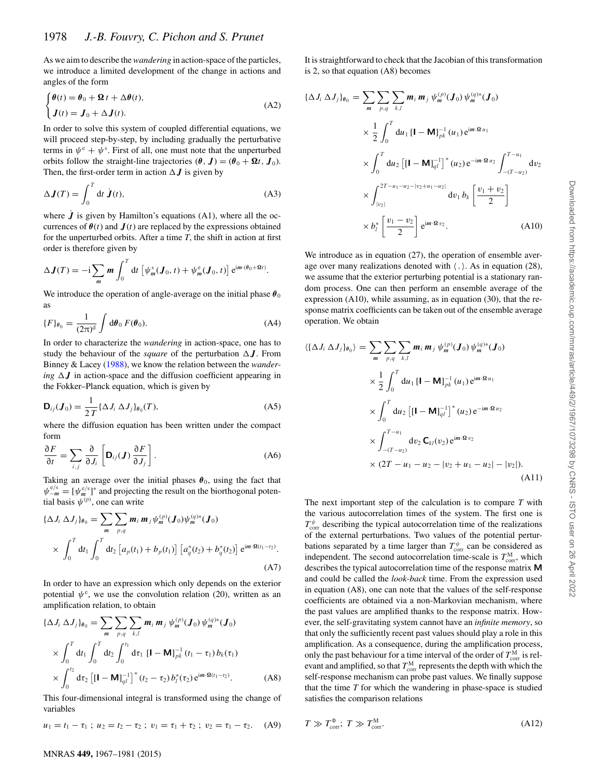As we aim to describe the*wandering* in action-space of the particles, we introduce a limited development of the change in actions and angles of the form

$$
\begin{cases} \theta(t) = \theta_0 + \mathbf{\Omega} t + \Delta \theta(t), \\ J(t) = J_0 + \Delta J(t). \end{cases}
$$
 (A2)

In order to solve this system of coupled differential equations, we will proceed step-by-step, by including gradually the perturbative terms in  $\psi^e + \psi^s$ . First of all, one must note that the unperturbed<br>orbits follow the straight-line trajectories  $(\theta \ \mathbf{I}) - (\theta \circ + \mathbf{Q}t \ \mathbf{I})$ orbits follow the straight-line trajectories (*θ, J*) = (*θ*<sub>0</sub> +  $\Omega t$ *, J*<sub>0</sub>). Then, the first-order term in action  $\Delta J$  is given by

$$
\Delta \mathbf{J}(T) = \int_0^T dt \, \mathbf{j}(t),\tag{A3}
$$

where  $\dot{J}$  is given by Hamilton's equations (A1), where all the occurrences of  $\theta(t)$  and  $J(t)$  are replaced by the expressions obtained for the unperturbed orbits. After a time *T*, the shift in action at first order is therefore given by

$$
\Delta \mathbf{J}(T) = -\mathrm{i} \sum_{m} m \int_{0}^{T} \mathrm{d}t \left[ \psi_{m}^{s}(J_{0}, t) + \psi_{m}^{e}(J_{0}, t) \right] \mathrm{e}^{\mathrm{i}m \cdot (\theta_{0} + \Omega t)}.
$$

We introduce the operation of angle-average on the initial phase  $\theta_0$ as

$$
\{F\}_{\theta_0} = \frac{1}{(2\pi)^d} \int d\theta_0 F(\theta_0). \tag{A4}
$$

In order to characterize the *wandering* in action-space, one has to study the behaviour of the *square* of the perturbation  $\Delta J$ . From Binney & Lacey (1988), we know the relation between the *wandering*  $\Delta J$  in action-space and the diffusion coefficient appearing in the Fokker–Planck equation, which is given by

$$
\mathbf{D}_{ij}(\boldsymbol{J}_0) = \frac{1}{2T} \{ \Delta J_i \, \Delta J_j \}_{\theta_0}(T),
$$
\n(A5)

\nwhere the diffusion equation has been written under the compact

form

$$
\frac{\partial F}{\partial t} = \sum_{i,j} \frac{\partial}{\partial J_i} \left[ \mathbf{D}_{ij}(\boldsymbol{J}) \frac{\partial F}{\partial J_j} \right].
$$
 (A6)

Taking an average over the initial phases  $\theta_0$ , using the fact that  $\psi_{-m}^{e/s} = [\psi_{m}^{e/s}]^*$  and projecting the result on the biorthogonal potential basis  $\psi_{-m}^{(p)}$  one can write tial basis  $\psi^{(p)}$ , one can write

$$
\{\Delta J_i \, \Delta J_j\}_{\theta_0} = \sum_m \sum_{p,q} m_i \, m_j \psi_m^{(p)}(\mathbf{J}_0) \psi_m^{(q)*}(\mathbf{J}_0)
$$
  
 
$$
\times \int_0^T \mathrm{d}t_1 \int_0^T \mathrm{d}t_2 \left[ a_p(t_1) + b_p(t_1) \right] \left[ a_q^*(t_2) + b_q^*(t_2) \right] e^{im \cdot \Omega(t_1 - t_2)}.
$$
 (A7)

In order to have an expression which only depends on the exterior potential  $\psi^e$ , we use the convolution relation (20), written as an amplification relation to obtain amplification relation, to obtain

$$
\{\Delta J_i \, \Delta J_j\}_{\theta_0} = \sum_{m} \sum_{p,q} \sum_{k,l} m_i \, m_j \, \psi_m^{(p)}(\mathbf{J}_0) \, \psi_m^{(q)*}(\mathbf{J}_0)
$$
\n
$$
\times \int_0^T dt_1 \int_0^T dt_2 \int_0^{t_1} d\tau_1 \, \left[\mathbf{I} - \mathbf{M}\right]_{pk}^{-1} (t_1 - \tau_1) \, b_k(\tau_1)
$$
\n
$$
\times \int_0^{t_2} d\tau_2 \left[\left[\mathbf{I} - \mathbf{M}\right]_{ql}^{-1}\right]^* (t_2 - \tau_2) \, b_l^*(\tau_2) \, e^{im \cdot \mathbf{\Omega}(t_1 - t_2)}.\tag{A8}
$$

This four-dimensional integral is transformed using the change of variables

$$
u_1 = t_1 - \tau_1 \; ; \; u_2 = t_2 - \tau_2 \; ; \; v_1 = \tau_1 + \tau_2 \; ; \; v_2 = \tau_1 - \tau_2. \quad (A9)
$$

It is straightforward to check that the Jacobian of this transformation is 2, so that equation (A8) becomes

$$
\{\Delta J_i \,\Delta J_j\}_{\theta_0} = \sum_{m} \sum_{p,q} \sum_{k,l} m_i m_j \,\psi_m^{(p)}(J_0) \,\psi_m^{(q)*}(J_0)
$$
  

$$
\times \frac{1}{2} \int_0^T du_1 \,[1 - M]_{pk}^{-1}(u_1) e^{im \cdot \Omega u_1}
$$
  

$$
\times \int_0^T du_2 \,[[1 - M]_{ql}^{-1}]^*(u_2) e^{-im \cdot \Omega u_2} \int_{-(T-u_2)}^{T-u_1} dv_2
$$
  

$$
\times \int_{|v_2|}^{2T-u_1-u_2-|v_2+u_1-u_2|} dv_1 b_k \left[\frac{v_1+v_2}{2}\right]
$$
  

$$
\times b_l^* \left[\frac{v_1-v_2}{2}\right] e^{im \cdot \Omega v_2}.
$$
 (A10)

We introduce as in equation (27), the operation of ensemble average over many realizations denoted with  $\langle . \rangle$ . As in equation (28), we assume that the exterior perturbing potential is a stationary random process. One can then perform an ensemble average of the expression (A10), while assuming, as in equation (30), that the response matrix coefficients can be taken out of the ensemble average operation. We obtain

$$
\langle \{\Delta J_i \,\Delta J_j\}_{\theta_0} \rangle = \sum_{m} \sum_{p,q} \sum_{k,l} m_i \, m_j \, \psi_m^{(p)}(J_0) \, \psi_m^{(q)*}(J_0)
$$
\n
$$
\times \frac{1}{2} \int_0^T du_1 \, [1 - \mathbf{M}]_{pk}^{-1}(u_1) \, e^{im \cdot \Omega u_1}
$$
\n
$$
\times \int_0^T du_2 \, \left[ [1 - \mathbf{M}]_{ql}^{-1} \right]^*(u_2) \, e^{-im \cdot \Omega u_2}
$$
\n
$$
\times \int_{-(T - u_2)}^{T - u_1} dv_2 \, \mathbf{C}_{kl}(v_2) \, e^{im \cdot \Omega v_2}
$$
\n
$$
\times (2T - u_1 - u_2 - |v_2 + u_1 - u_2| - |v_2|). \tag{A11}
$$

The next important step of the calculation is to compare *T* with the various autocorrelation times of the system. The first one is *T* <sup>of *u*</sup> *t t escribing* the typical addocorrelation time of the realizations of the external perturbations. Two values of the potential pertur- $T_{\rm corr}^{\psi}$  describing the typical autocorrelation time of the realizations bations separated by a time larger than  $T_{\text{corr}}^{\psi}$  can be considered as independent. The second autocorrelation time-scale is  $T^M$ , which independent. The second autocorrelation time-scale is  $T_{\text{corr}}^M$ , which<br>describes the typical autocorrelation time of the response matrix **M** describes the typical autocorrelation time of the response matrix **M** and could be called the *look-back* time. From the expression used in equation (A8), one can note that the values of the self-response coefficients are obtained via a non-Markovian mechanism, where the past values are amplified thanks to the response matrix. However, the self-gravitating system cannot have an *infinite memory*, so that only the sufficiently recent past values should play a role in this amplification. As a consequence, during the amplification process, only the past behaviour for a time interval of the order of  $T_{\text{corr}}^{\text{M}}$  is rel-<br>evant and amplified, so that  $T^{\text{M}}$  represents the depth with which the evant and amplified, so that  $T_{\text{corr}}^M$  represents the depth with which the self-represents mechanism can probe past values. We finally suppose self-response mechanism can probe past values. We finally suppose that the time *T* for which the wandering in phase-space is studied satisfies the comparison relations

$$
T \gg T_{\text{corr}}^{\Phi}; \ T \gg T_{\text{corr}}^{\text{M}}.
$$
 (A12)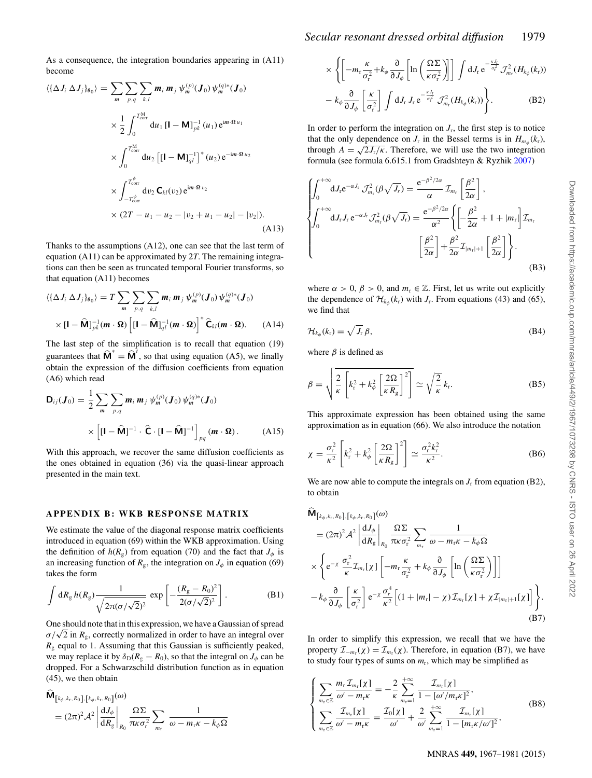As a consequence, the integration boundaries appearing in (A11) become

$$
\langle \{\Delta J_i \,\Delta J_j\}_{\theta_0} \rangle = \sum_{m} \sum_{p,q} \sum_{k,l} m_i \, m_j \, \psi_m^{(p)}(\mathbf{J}_0) \, \psi_m^{(q)*}(\mathbf{J}_0)
$$
\n
$$
\times \frac{1}{2} \int_0^{T_{\text{corr}}^{\text{M}}} \mathrm{d}u_1 \, [\mathbf{I} - \mathbf{M}]_{pk}^{-1} (u_1) \, \mathrm{e}^{\mathrm{i}m \cdot \Omega \, u_1}
$$
\n
$$
\times \int_0^{T_{\text{corr}}^{\text{M}}} \mathrm{d}u_2 \, [\mathbf{I} - \mathbf{M}]_{ql}^{-1}]^* (u_2) \, \mathrm{e}^{-\mathrm{i}m \cdot \Omega \, u_2}
$$
\n
$$
\times \int_{-T_{\text{corr}}^{\psi}}^{T_{\text{corr}}^{\psi}} \mathrm{d}v_2 \, \mathbf{C}_{kl}(v_2) \, \mathrm{e}^{\mathrm{i}m \cdot \Omega \, v_2}
$$
\n
$$
\times (2T - u_1 - u_2 - |v_2 + u_1 - u_2| - |v_2|). \tag{A13}
$$

Thanks to the assumptions (A12), one can see that the last term of equation (A11) can be approximated by 2*T*. The remaining integrations can then be seen as truncated temporal Fourier transforms, so that equation (A11) becomes

$$
\langle \{\Delta J_i \,\Delta J_j\}_{\theta_0}\rangle = T \sum_m \sum_{p,q} \sum_{k,l} m_i \, m_j \, \psi_m^{(p)}(\mathbf{J}_0) \, \psi_m^{(q)*}(\mathbf{J}_0)
$$

$$
\times [\mathbf{I} - \widehat{\mathbf{M}}]_{pk}^{-1}(\mathbf{m} \cdot \mathbf{\Omega}) \left[ [\mathbf{I} - \widehat{\mathbf{M}}]_{ql}^{-1}(\mathbf{m} \cdot \mathbf{\Omega}) \right]^* \widehat{\mathbf{C}}_{kl}(\mathbf{m} \cdot \mathbf{\Omega}). \tag{A14}
$$

The last step of the simplification is to recall that equation (19) guarantees that  $\widehat{\mathbf{M}}^* = \widehat{\mathbf{M}}^t$ , so that using equation (A5), we finally obtain the expression of the diffusion coefficients from equation (A6) which read

$$
\mathbf{D}_{ij}(\boldsymbol{J}_0) = \frac{1}{2} \sum_{m} \sum_{p,q} \boldsymbol{m}_i \, \boldsymbol{m}_j \, \psi_m^{(p)}(\boldsymbol{J}_0) \, \psi_m^{(q)*}(\boldsymbol{J}_0)
$$
\n
$$
\times \left[ [\mathbf{I} - \widehat{\mathbf{M}}]^{-1} \cdot \widehat{\mathbf{C}} \cdot [\mathbf{I} - \widehat{\mathbf{M}}]^{-1} \right]_{pq} (\boldsymbol{m} \cdot \boldsymbol{\Omega}). \tag{A15}
$$

With this approach, we recover the same diffusion coefficients as the ones obtained in equation (36) via the quasi-linear approach presented in the main text.

#### **APPENDIX B: WKB RESPONSE MATRIX**

We estimate the value of the diagonal response matrix coefficients introduced in equation (69) within the WKB approximation. Using the definition of  $h(R_g)$  from equation (70) and the fact that  $J_\phi$  is an increasing function of  $R_g$ , the integration on  $J_\phi$  in equation (69) takes the form

$$
\int dR_g h(R_g) \frac{1}{\sqrt{2\pi(\sigma/\sqrt{2})^2}} \exp \left[-\frac{(R_g - R_0)^2}{2(\sigma/\sqrt{2})^2}\right].
$$
 (B1)

One should note that in this expression, we have a Gaussian of spread  $\sigma/\sqrt{2}$  in  $R_g$ , correctly normalized in order to have an integral over  $R<sub>g</sub>$  equal to 1. Assuming that this Gaussian is sufficiently peaked, we may replace it by  $\delta_D(R_g - R_0)$ , so that the integral on  $J_\phi$  can be dropped. For a Schwarzschild distribution function as in equation (45), we then obtain

$$
\mathbf{M}_{\left[k_{\phi},k_{\mathrm{r}},R_{0}\right],\left[k_{\phi},k_{\mathrm{r}},R_{0}\right]}(\omega)
$$
\n
$$
= (2\pi)^{2} \mathcal{A}^{2} \left| \frac{\mathrm{d} J_{\phi}}{\mathrm{d} R_{g}} \right|_{R_{0}} \frac{\Omega \Sigma}{\pi \kappa \sigma_{\mathrm{r}}^{2}} \sum_{m_{\mathrm{r}}} \frac{1}{\omega - m_{\mathrm{r}} \kappa - k_{\phi} \Omega}
$$

$$
\times \left\{ \left[ -m_r \frac{\kappa}{\sigma_r^2} + k_\phi \frac{\partial}{\partial J_\phi} \left[ \ln \left( \frac{\Omega \Sigma}{\kappa \sigma_r^2} \right) \right] \right] \int \mathrm{d}J_r \, \mathrm{e}^{-\frac{\kappa J_r}{\sigma_r^2}} \mathcal{J}_{m_r}^2(H_{k_\phi}(k_r)) - k_\phi \frac{\partial}{\partial J_\phi} \left[ \frac{\kappa}{\sigma_r^2} \right] \int \mathrm{d}J_r \, J_r \, \mathrm{e}^{-\frac{\kappa J_r}{\sigma_r^2}} \mathcal{J}_{m_r}^2(H_{k_\phi}(k_r)) \right\}.
$$
 (B2)

In order to perform the integration on  $J_r$ , the first step is to notice that the only dependence on  $J_r$  in the Bessel terms is in  $H_{m_\phi}(k_r)$ , through  $A = \sqrt{2J_r/\kappa}$ . Therefore, we will use the two integration formula (see formula 6.615.1 from Gradshteyn & Ryzhik 2007)

$$
\begin{cases}\n\int_0^{+\infty} dJ_r e^{-\alpha J_r} \mathcal{J}_{m_r}^2(\beta \sqrt{J_r}) = \frac{e^{-\beta^2/2\alpha}}{\alpha} \mathcal{I}_{m_r} \left[ \frac{\beta^2}{2\alpha} \right], \\
\int_0^{+\infty} dJ_r J_r e^{-\alpha J_r} \mathcal{J}_{m_r}^2(\beta \sqrt{J_r}) = \frac{e^{-\beta^2/2\alpha}}{\alpha^2} \left\{ \left[ -\frac{\beta^2}{2\alpha} + 1 + |m_r| \right] \mathcal{I}_{m_r} \right. \\
\left. \left[ \frac{\beta^2}{2\alpha} \right] + \frac{\beta^2}{2\alpha} \mathcal{I}_{|m_r|+1} \left[ \frac{\beta^2}{2\alpha} \right] \right\}.\n\end{cases}
$$
\n(B3)

where  $\alpha > 0$ ,  $\beta > 0$ , and  $m_r \in \mathbb{Z}$ . First, let us write out explicitly the dependence of  $\mathcal{H}_{k_{\phi}}(k_{r})$  with  $J_{r}$ . From equations (43) and (65), we find that

$$
\mathcal{H}_{k_{\phi}}(k_{\rm r}) = \sqrt{J_{\rm r}} \,\beta,\tag{B4}
$$

where  $\beta$  is defined as

$$
\beta = \sqrt{\frac{2}{\kappa} \left[ k_{\rm r}^2 + k_{\phi}^2 \left[ \frac{2\Omega}{\kappa R_{\rm g}} \right]^2 \right]} \simeq \sqrt{\frac{2}{\kappa}} k_{\rm r}.
$$
 (B5)

This approximate expression has been obtained using the same approximation as in equation (66). We also introduce the notation

$$
\chi = \frac{\sigma_{\rm r}^2}{\kappa^2} \left[ k_{\rm r}^2 + k_{\phi}^2 \left[ \frac{2\Omega}{\kappa R_{\rm g}} \right]^2 \right] \simeq \frac{\sigma_{\rm r}^2 k_{\rm r}^2}{\kappa^2}.
$$
 (B6)

We are now able to compute the integrals on  $J_r$  from equation (B2), to obtain

$$
\hat{\mathbf{M}}_{\left[k_{\phi},k_{\text{r}},R_{0}\right],\left[k_{\phi},k_{\text{r}},R_{0}\right]}(\omega)
$$
\n
$$
= (2\pi)^{2} A^{2} \left| \frac{dJ_{\phi}}{dR_{g}} \right|_{R_{0}} \frac{\Omega \Sigma}{\pi \kappa \sigma_{\text{r}}^{2}} \sum_{m_{\text{r}}} \frac{1}{\omega - m_{\text{r}} \kappa - k_{\phi} \Omega}
$$
\n
$$
\times \left\{ e^{-\chi} \frac{\sigma_{\text{r}}^{2}}{\kappa} \mathcal{I}_{m_{\text{r}}}[\chi] \left[ -m_{\text{r}} \frac{\kappa}{\sigma_{\text{r}}^{2}} + k_{\phi} \frac{\partial}{\partial J_{\phi}} \left[ \ln \left( \frac{\Omega \Sigma}{\kappa \sigma_{\text{r}}^{2}} \right) \right] \right]
$$
\n
$$
-k_{\phi} \frac{\partial}{\partial J_{\phi}} \left[ \frac{\kappa}{\sigma_{\text{r}}^{2}} \right] e^{-\chi} \frac{\sigma_{\text{r}}^{4}}{\kappa^{2}} \left[ (1 + |m_{\text{r}}| - \chi) \mathcal{I}_{m_{\text{r}}}[\chi] + \chi \mathcal{I}_{|m_{\text{r}}|+1}[\chi] \right] \right\}.
$$
\n(B7)

In order to simplify this expression, we recall that we have the property  $\mathcal{I}_{-m_r}(\chi) = \mathcal{I}_{m_r}(\chi)$ . Therefore, in equation (B7), we have to study four types of sums on  $m_r$ , which may be simplified as

$$
\begin{cases}\n\sum_{m_{\rm r} \in \mathbb{Z}} \frac{m_{\rm r} \mathcal{I}_{m_{\rm r}}[\chi]}{\omega' - m_{\rm r} \kappa} = -\frac{2}{\kappa} \sum_{m_{\rm r}=1}^{+\infty} \frac{\mathcal{I}_{m_{\rm r}}[\chi]}{1 - [\omega'/m_{\rm r} \kappa]^2},\\
\sum_{m_{\rm r} \in \mathbb{Z}} \frac{\mathcal{I}_{m_{\rm r}}[\chi]}{\omega' - m_{\rm r} \kappa} = \frac{\mathcal{I}_0[\chi]}{\omega'} + \frac{2}{\omega'} \sum_{m_{\rm r}=1}^{+\infty} \frac{\mathcal{I}_{m_{\rm r}}[\chi]}{1 - [m_{\rm r} \kappa/\omega']^2},\n\end{cases} \tag{B8}
$$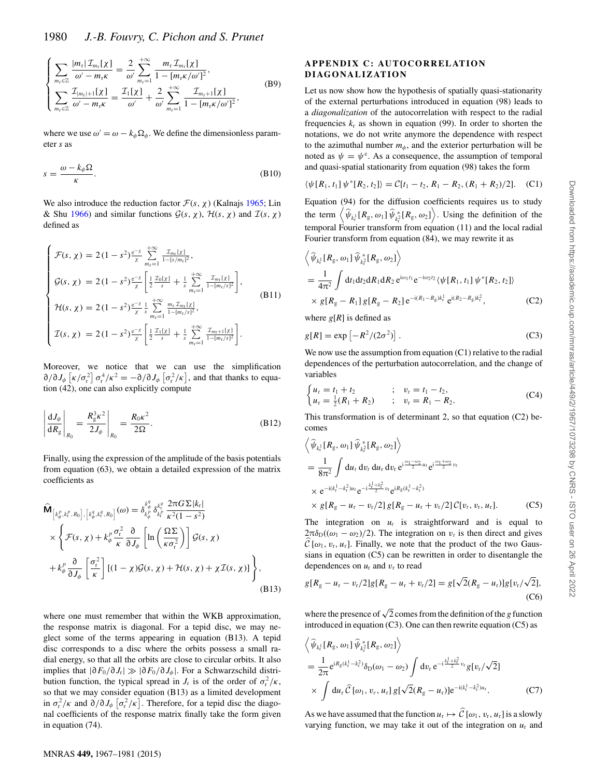$$
\begin{cases}\n\sum_{m_{\rm r} \in \mathbb{Z}} \frac{|m_{\rm r}| \mathcal{I}_{m_{\rm r}}[\chi]}{\omega' - m_{\rm r} \kappa} = \frac{2}{\omega'} \sum_{m_{\rm r} = 1}^{+\infty} \frac{m_{\rm r} \mathcal{I}_{m_{\rm r}}[\chi]}{1 - [m_{\rm r} \kappa/\omega']^2},\\ \sum_{m_{\rm r} \in \mathbb{Z}} \frac{\mathcal{I}_{|m_{\rm r}|+1}[\chi]}{\omega' - m_{\rm r} \kappa} = \frac{\mathcal{I}_{1}[\chi]}{\omega'} + \frac{2}{\omega'} \sum_{m_{\rm r} = 1}^{+\infty} \frac{\mathcal{I}_{m_{\rm r}+1}[\chi]}{1 - [m_{\rm r} \kappa/\omega']^2},\n\end{cases} (B9)
$$

where we use  $\omega' = \omega - k_{\phi} \Omega_{\phi}$ . We define the dimensionless parameter *s* as

$$
s = \frac{\omega - k_{\phi} \Omega}{\kappa}.
$$
 (B10)

We also introduce the reduction factor  $\mathcal{F}(s, \chi)$  (Kalnajs 1965; Lin & Shu 1966) and similar functions  $\mathcal{G}(s, \chi)$ ,  $\mathcal{H}(s, \chi)$  and  $\mathcal{I}(s, \chi)$ defined as

$$
\begin{cases}\n\mathcal{F}(s,\chi) = 2(1-s^2)\frac{e^{-\chi}}{\chi} \sum_{m_t=1}^{+\infty} \frac{\mathcal{I}_{m_t[\chi]}}{1-[s/m_t]^2},\\ \n\mathcal{G}(s,\chi) = 2(1-s^2)\frac{e^{-\chi}}{\chi} \left[ \frac{1}{2} \frac{\mathcal{I}_{0[\chi]}}{s} + \frac{1}{s} \sum_{m_t=1}^{+\infty} \frac{\mathcal{I}_{m_t[\chi]}}{1-[m_t/s]^2} \right],\\ \n\mathcal{H}(s,\chi) = 2(1-s^2)\frac{e^{-\chi}}{\chi} \frac{1}{s} \sum_{m_t=1}^{+\infty} \frac{m_t \mathcal{I}_{m_t[\chi]}}{1-[m_t/s]^2},\\ \n\mathcal{I}(s,\chi) = 2(1-s^2)\frac{e^{-\chi}}{\chi} \left[ \frac{1}{2} \frac{\mathcal{I}_{1[\chi]}}{s} + \frac{1}{s} \sum_{m_t=1}^{+\infty} \frac{\mathcal{I}_{m_t+1[\chi]}}{1-[m_t/s]^2} \right].\n\end{cases}
$$
\n(B11)

Moreover, we notice that we can use the simplification  $\partial/\partial J_{\phi}$   $\left[\kappa/\sigma_{\rm r}^2\right] \sigma_{\rm r}^4/\kappa^2 = -\partial/\partial J_{\phi}$   $\left[\sigma_{\rm r}^2/\kappa\right]$ , and that thanks to equation (42) one can also explicitly compute tion (42), one can also explicitly compute

$$
\left| \frac{\mathrm{d}J_{\phi}}{\mathrm{d}R_{\mathrm{g}}} \right|_{R_{0}} = \left. \frac{R_{\mathrm{g}}^{3}\kappa^{2}}{2J_{\phi}} \right|_{R_{0}} = \frac{R_{0}\kappa^{2}}{2\Omega}.
$$
\n(B12)

Finally, using the expression of the amplitude of the basis potentials from equation (63), we obtain a detailed expression of the matrix coefficients as

$$
\widehat{\mathbf{M}}_{\left[k_{\phi}^{p},k_{\tau}^{p},R_{0}\right],\left[k_{\phi}^{q},k_{\tau}^{q},R_{0}\right]}(\omega)=\delta_{k_{\phi}^{p}}^{k_{\phi}^{q}}\delta_{k_{\tau}^{p}}^{k_{\tau}^{q}}\frac{2\pi G\Sigma|k_{\tau}|}{\kappa^{2}(1-s^{2})}\times\left\{\mathcal{F}(s,\chi)+k_{\phi}^{p}\frac{\sigma_{\tau}^{2}}{\kappa}\frac{\partial}{\partial J_{\phi}}\left[\ln\left(\frac{\Omega\Sigma}{\kappa\sigma_{\tau}^{2}}\right)\right]\mathcal{G}(s,\chi) +k_{\phi}^{p}\frac{\partial}{\partial J_{\phi}}\left[\frac{\sigma_{\tau}^{2}}{\kappa}\right]\left[(1-\chi)\mathcal{G}(s,\chi)+\mathcal{H}(s,\chi)+\chi\mathcal{I}(s,\chi)\right]\right\},\tag{B13}
$$

where one must remember that within the WKB approximation, the response matrix is diagonal. For a tepid disc, we may neglect some of the terms appearing in equation (B13). A tepid disc corresponds to a disc where the orbits possess a small radial energy, so that all the orbits are close to circular orbits. It also implies that <sup>|</sup>∂*F*<sup>0</sup>*/*∂*J*<sup>r</sup>||∂*F*<sup>0</sup>*/*∂*Jφ*|. For a Schwarzschild distribution function, the typical spread in *J<sub>r</sub>* is of the order of  $\sigma_r^2/\kappa$ , so that we may consider equation (B13) as a limited development in  $\sigma_r^2 / \kappa$  and  $\partial / \partial J_\phi$   $[\sigma_r^2 / \kappa]$ . Therefore, for a tepid disc the diago-<br>nal coefficients of the response matrix finally take the form given nal coefficients of the response matrix finally take the form given in equation (74).

### **APPENDIX C: AUTOCORRELATION DIAGONALIZATION**

Let us now show how the hypothesis of spatially quasi-stationarity of the external perturbations introduced in equation (98) leads to a *diagonalization* of the autocorrelation with respect to the radial frequencies  $k_r$  as shown in equation (99). In order to shorten the notations, we do not write anymore the dependence with respect to the azimuthal number  $m<sub>\phi</sub>$ , and the exterior perturbation will be noted as  $\psi = \psi^e$ . As a consequence, the assumption of temporal and quasi-spatial stationarity from equation (98) takes the form and quasi-spatial stationarity from equation (98) takes the form

$$
\langle \psi[R_1, t_1] \psi^*[R_2, t_2] \rangle = C[t_1 - t_2, R_1 - R_2, (R_1 + R_2)/2]. \quad (C1)
$$

Equation (94) for the diffusion coefficients requires us to study the term  $\left\langle \widehat{\psi}_{k_i} [R_g, \omega_1] \widehat{\psi}_{k_i^2} [R_g, \omega_2] \right\rangle$ . Using the definition of the terms of the terms of the terms of the terms of the terms of the terms of the terms of the terms of the terms of the terms of the loca temporal Fourier transform from equation (11) and the local radial Fourier transform from equation (84), we may rewrite it as

$$
\left\langle \widehat{\psi}_{k_{\rm f}^1} [R_{\rm g}, \omega_1] \widehat{\psi}_{k_{\rm f}^2}^*[R_{\rm g}, \omega_2] \right\rangle
$$
  
=  $\frac{1}{4\pi^2} \int dt_1 dt_2 dR_1 dR_2 e^{i\omega_1 t_1} e^{-i\omega_2 t_2} \langle \psi[R_1, t_1] \psi^*[R_2, t_2] \rangle$   
×  $g[R_{\rm g} - R_1] g[R_{\rm g} - R_2] e^{-i(R_1 - R_{\rm g})k_{\rm f}^1} e^{i(R_2 - R_{\rm g})k_{\rm f}^2},$  (C2)

where  $g[R]$  is defined as

$$
g[R] = \exp\left[-R^2/(2\sigma^2)\right].
$$
 (C3)

We now use the assumption from equation (C1) relative to the radial dependences of the perturbation autocorrelation, and the change of variables

$$
\begin{cases} u_t = t_1 + t_2 & ; \quad v_t = t_1 - t_2, \\ u_r = \frac{1}{2}(R_1 + R_2) & ; \quad v_r = R_1 - R_2. \end{cases}
$$
 (C4)

This transformation is of determinant 2, so that equation (C2) becomes

$$
\left\langle \widehat{\psi}_{k_{t}^{1}} [R_{g}, \omega_{1}] \widehat{\psi}_{k_{t}^{2}}^{*} [R_{g}, \omega_{2}] \right\rangle
$$
\n
$$
= \frac{1}{8\pi^{2}} \int du_{t} dv_{t} du_{r} dv_{r} e^{i\frac{\omega_{1} - \omega_{2}}{2}u_{t}} e^{i\frac{\omega_{1} + \omega_{2}}{2}v_{t}}
$$
\n
$$
\times e^{-i(k_{t}^{1} - k_{t}^{2})u_{r}} e^{-i\frac{k_{t}^{1} + k_{t}^{2}}{2}v_{r}} e^{iR_{g}(k_{t}^{1} - k_{t}^{2})}
$$
\n
$$
\times g[R_{g} - u_{r} - v_{r}/2] g[R_{g} - u_{r} + v_{r}/2] \mathcal{C}[v_{t}, v_{r}, u_{r}].
$$
\n(C5)

The integration on  $u_t$  is straightforward and is equal to  $2\pi\delta_D((\omega_1 - \omega_2)/2)$ . The integration on  $v_t$  is then direct and gives  $\mathcal{C}[\omega_1, v_r, u_r]$ . Finally, we note that the product of the two Gaus-<br>sians in equation (C5) can be rewritten in order to disentangle the sians in equation (C5) can be rewritten in order to disentangle the dependences on  $u_r$  and  $v_r$  to read

$$
g[R_{g} - u_{r} - v_{r}/2]g[R_{g} - u_{r} + v_{r}/2] = g[\sqrt{2}(R_{g} - u_{r})]g[v_{r}/\sqrt{2}],
$$
\n(C6)

where the presence of  $\sqrt{2}$  comes from the definition of the *g* function introduced in equation (C3). One can then rewrite equation (C5) as

$$
\left\langle \hat{\psi}_{k_{\tau}^{1}}[R_{g}, \omega_{1}] \hat{\psi}_{k_{\tau}^{2}}^{*}[R_{g}, \omega_{2}] \right\rangle
$$
\n
$$
= \frac{1}{2\pi} e^{iR_{g}(k_{\tau}^{1} - k_{\tau}^{2})} \delta_{D}(\omega_{1} - \omega_{2}) \int dv_{r} e^{-i\frac{k_{\tau}^{1} + k_{\tau}^{2}}{2}v_{r}} g[v_{r}/\sqrt{2}]
$$
\n
$$
\times \int du_{r} \hat{C}[\omega_{1}, v_{r}, u_{r}] g[\sqrt{2}(R_{g} - u_{r})] e^{-i(k_{\tau}^{1} - k_{\tau}^{2})u_{r}}.
$$
\n(C7)

As we have assumed that the function  $u_r \mapsto C[\omega_1, v_r, u_r]$  is a slowly<br>varying function, we may take it out of the integration on u and varying function, we may take it out of the integration on  $u_r$  and